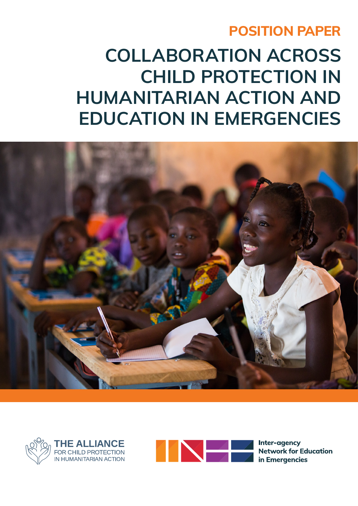### **POSITION PAPER**

# **COLLABORATION ACROSS CHILD PROTECTION IN HUMANITARIAN ACTION AND EDUCATION IN EMERGENCIES**







Inter-agency **Network for Education** in Emergencies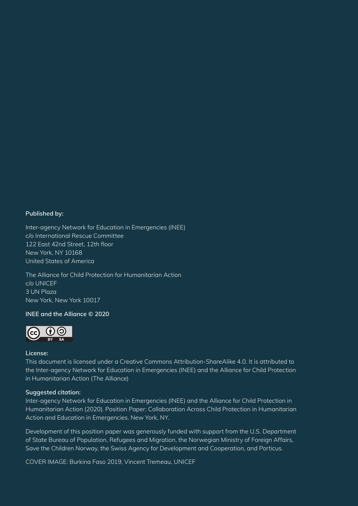#### **Published by:**

Inter-agency Network for Education in Emergencies (INEE) c/o International Rescue Committee 122 East 42nd Street, 12th floor New York, NY 10168 United States of America

The Alliance for Child Protection for Humanitarian Action c/o UNICEF 3 UN Plaza New York, New York 10017

#### **INEE and the Alliance © 2020**



#### **License:**

This document is licensed under a Creative Commons Attribution-ShareAlike 4.0. It is attributed to the Inter-agency Network for Education in Emergencies (INEE) and the Alliance for Child Protection in Humanitarian Action (The Alliance)

#### **Suggested citation:**

Inter-agency Network for Education in Emergencies (INEE) and the Alliance for Child Protection in Humanitarian Action (2020). Position Paper: Collaboration Across Child Protection in Humanitarian Action and Education in Emergencies. New York, NY.

Development of this position paper was generously funded with support from the U.S. Department of State Bureau of Population, Refugees and Migration, the Norwegian Ministry of Foreign Affairs, Save the Children Norway, the Swiss Agency for Development and Cooperation, and Porticus.

COVER IMAGE: Burkina Faso 2019, Vincent Tremeau, UNICEF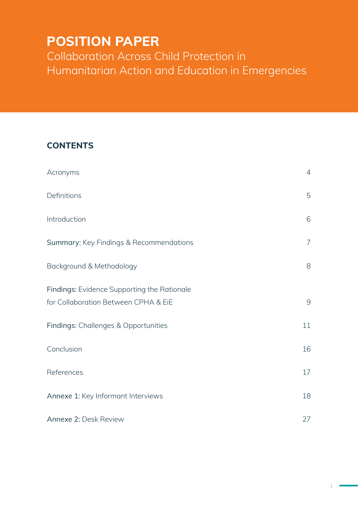# **POSITION PAPER**

Collaboration Across Child Protection in Humanitarian Action and Education in Emergencies

### **CONTENTS**

| Acronyms                                                                            | $\overline{4}$ |
|-------------------------------------------------------------------------------------|----------------|
| Definitions                                                                         | 5              |
| Introduction                                                                        | 6              |
| Summary: Key Findings & Recommendations                                             | 7              |
| Background & Methodology                                                            | 8              |
| Findings: Evidence Supporting the Rationale<br>for Collaboration Between CPHA & EiE | 9              |
| Findings: Challenges & Opportunities                                                | 11             |
| Conclusion                                                                          | 16             |
| References                                                                          | 17             |
| Annexe 1: Key Informant Interviews                                                  | 18             |
| Annexe 2: Desk Review                                                               | 27             |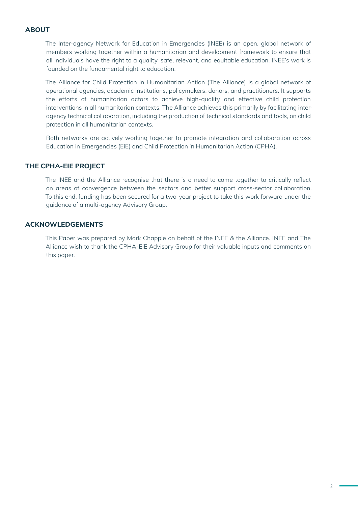#### **ABOUT**

The Inter-agency Network for Education in Emergencies (INEE) is an open, global network of members working together within a humanitarian and development framework to ensure that all individuals have the right to a quality, safe, relevant, and equitable education. INEE's work is founded on the fundamental right to education.

The Alliance for Child Protection in Humanitarian Action (The Alliance) is a global network of operational agencies, academic institutions, policymakers, donors, and practitioners. It supports the efforts of humanitarian actors to achieve high-quality and effective child protection interventions in all humanitarian contexts. The Alliance achieves this primarily by facilitating interagency technical collaboration, including the production of technical standards and tools, on child protection in all humanitarian contexts.

Both networks are actively working together to promote integration and collaboration across Education in Emergencies (EiE) and Child Protection in Humanitarian Action (CPHA).

#### **THE CPHA-EIE PROJECT**

The INEE and the Alliance recognise that there is a need to come together to critically reflect on areas of convergence between the sectors and better support cross-sector collaboration. To this end, funding has been secured for a two-year project to take this work forward under the guidance of a multi-agency Advisory Group.

#### **ACKNOWLEDGEMENTS**

This Paper was prepared by Mark Chapple on behalf of the INEE & the Alliance. INEE and The Alliance wish to thank the CPHA-EiE Advisory Group for their valuable inputs and comments on this paper.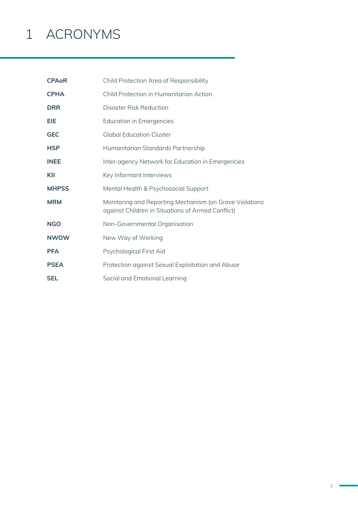# 1 ACRONYMS

| <b>CPAoR</b> | Child Protection Area of Responsibility                                                                      |
|--------------|--------------------------------------------------------------------------------------------------------------|
| <b>CPHA</b>  | Child Protection in Humanitarian Action                                                                      |
| <b>DRR</b>   | Disaster Risk Reduction                                                                                      |
| EIE          | <b>Education in Emergencies</b>                                                                              |
| <b>GEC</b>   | <b>Global Education Cluster</b>                                                                              |
| <b>HSP</b>   | Humanitarian Standards Partnership                                                                           |
| <b>INEE</b>  | Inter-agency Network for Education in Emergencies                                                            |
| KII          | Key Informant Interviews                                                                                     |
| <b>MHPSS</b> | Mental Health & Psychosocial Support                                                                         |
| <b>MRM</b>   | Monitoring and Reporting Mechanism (on Grave Violations<br>against Children in Situations of Armed Conflict) |
| <b>NGO</b>   | Non-Governmental Organisation                                                                                |
| <b>NWOW</b>  | New Way of Working                                                                                           |
| <b>PFA</b>   | Psychological First Aid                                                                                      |
| <b>PSEA</b>  | Protection against Sexual Exploitation and Abuse                                                             |
| <b>SEL</b>   | Social and Emotional Learning                                                                                |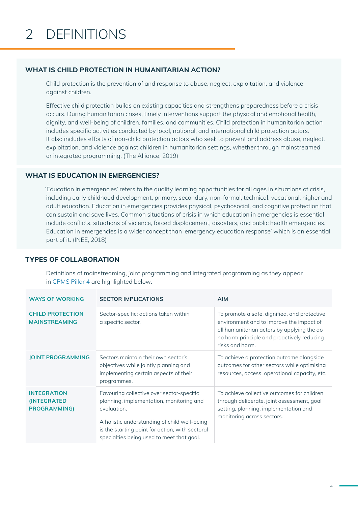#### **WHAT IS CHILD PROTECTION IN HUMANITARIAN ACTION?**

Child protection is the prevention of and response to abuse, neglect, exploitation, and violence against children.

Effective child protection builds on existing capacities and strengthens preparedness before a crisis occurs. During humanitarian crises, timely interventions support the physical and emotional health, dignity, and well-being of children, families, and communities. Child protection in humanitarian action includes specific activities conducted by local, national, and international child protection actors. It also includes efforts of non-child protection actors who seek to prevent and address abuse, neglect, exploitation, and violence against children in humanitarian settings, whether through mainstreamed or integrated programming. (The Alliance, 2019)

#### **WHAT IS EDUCATION IN EMERGENCIES?**

'Education in emergencies' refers to the quality learning opportunities for all ages in situations of crisis, including early childhood development, primary, secondary, non-formal, technical, vocational, higher and adult education. Education in emergencies provides physical, psychosocial, and cognitive protection that can sustain and save lives. Common situations of crisis in which education in emergencies is essential include conflicts, situations of violence, forced displacement, disasters, and public health emergencies. Education in emergencies is a wider concept than 'emergency education response' which is an essential part of it. (INEE, 2018)

#### **TYPES OF COLLABORATION**

Definitions of mainstreaming, joint programming and integrated programming as they appear in CPMS Pillar 4 are highlighted below:

| <b>WAYS OF WORKING</b>                                           | <b>SECTOR IMPLICATIONS</b>                                                                                                                                                                                                                           | <b>AIM</b>                                                                                                                                                                                              |
|------------------------------------------------------------------|------------------------------------------------------------------------------------------------------------------------------------------------------------------------------------------------------------------------------------------------------|---------------------------------------------------------------------------------------------------------------------------------------------------------------------------------------------------------|
| <b>CHILD PROTECTION</b><br><b>MAINSTREAMING</b>                  | Sector-specific: actions taken within<br>a specific sector.                                                                                                                                                                                          | To promote a safe, dignified, and protective<br>environment and to improve the impact of<br>all humanitarian actors by applying the do<br>no harm principle and proactively reducing<br>risks and harm. |
| <b>JOINT PROGRAMMING</b>                                         | Sectors maintain their own sector's<br>objectives while jointly planning and<br>implementing certain aspects of their<br>programmes.                                                                                                                 | To achieve a protection outcome alongside<br>outcomes for other sectors while optimising<br>resources, access, operational capacity, etc.                                                               |
| <b>INTEGRATION</b><br><b>(INTEGRATED)</b><br><b>PROGRAMMING)</b> | Favouring collective over sector-specific<br>planning, implementation, monitoring and<br>evaluation.<br>A holistic understanding of child well-being<br>is the starting point for action, with sectoral<br>specialties being used to meet that goal. | To achieve collective outcomes for children<br>through deliberate, joint assessment, goal<br>setting, planning, implementation and<br>monitoring across sectors.                                        |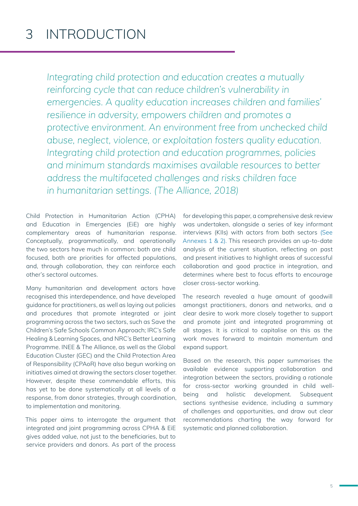## 3 INTRODUCTION

*Integrating child protection and education creates a mutually reinforcing cycle that can reduce children's vulnerability in emergencies. A quality education increases children and families' resilience in adversity, empowers children and promotes a protective environment. An environment free from unchecked child abuse, neglect, violence, or exploitation fosters quality education. Integrating child protection and education programmes, policies*  and minimum standards maximises available resources to better *address the multifaceted challenges and risks children face in humanitarian settings. (The Alliance, 2018)*

Child Protection in Humanitarian Action (CPHA) and Education in Emergencies (EiE) are highly complementary areas of humanitarian response. Conceptually, programmatically, and operationally the two sectors have much in common: both are child focused, both are priorities for affected populations, and, through collaboration, they can reinforce each other's sectoral outcomes.

Many humanitarian and development actors have recognised this interdependence, and have developed guidance for practitioners, as well as laying out policies and procedures that promote integrated or joint programming across the two sectors, such as Save the Children's Safe Schools Common Approach; IRC's Safe Healing & Learning Spaces, and NRC's Better Learning Programme. INEE & The Alliance, as well as the Global Education Cluster (GEC) and the Child Protection Area of Responsibility (CPAoR) have also begun working on initiatives aimed at drawing the sectors closer together. However, despite these commendable efforts, this has yet to be done systematically at all levels of a response, from donor strategies, through coordination, to implementation and monitoring.

This paper aims to interrogate the argument that integrated and joint programming across CPHA & EiE gives added value, not just to the beneficiaries, but to service providers and donors. As part of the process

for developing this paper, a comprehensive desk review was undertaken, alongside a series of key informant interviews (KIIs) with actors from both sectors (See Annexes 1 & 2). This research provides an up-to-date analysis of the current situation, reflecting on past and present initiatives to highlight areas of successful collaboration and good practice in integration, and determines where best to focus efforts to encourage closer cross-sector working.

The research revealed a huge amount of goodwill amongst practitioners, donors and networks, and a clear desire to work more closely together to support and promote joint and integrated programming at all stages. It is critical to capitalise on this as the work moves forward to maintain momentum and expand support.

Based on the research, this paper summarises the available evidence supporting collaboration and integration between the sectors, providing a rationale for cross-sector working grounded in child wellbeing and holistic development. Subsequent sections synthesise evidence, including a summary of challenges and opportunities, and draw out clear recommendations charting the way forward for systematic and planned collaboration.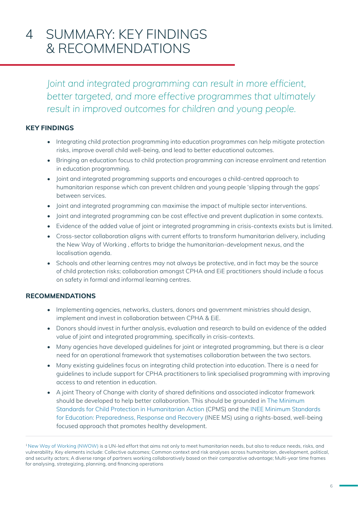## 4 SUMMARY: KEY FINDINGS & RECOMMENDATIONS

*Joint and integrated programming can result in more efficient, better targeted, and more effective programmes that ultimately result in improved outcomes for children and young people.*

#### **KEY FINDINGS**

- Integrating child protection programming into education programmes can help mitigate protection risks, improve overall child well-being, and lead to better educational outcomes.
- Bringing an education focus to child protection programming can increase enrolment and retention in education programming.
- Joint and integrated programming supports and encourages a child-centred approach to humanitarian response which can prevent children and young people 'slipping through the gaps' between services.
- Joint and integrated programming can maximise the impact of multiple sector interventions.
- Joint and integrated programming can be cost effective and prevent duplication in some contexts.
- Evidence of the added value of joint or integrated programming in crisis-contexts exists but is limited.
- Cross-sector collaboration aligns with current efforts to transform humanitarian delivery, including the New Way of Working , efforts to bridge the humanitarian-development nexus, and the localisation agenda.
- Schools and other learning centres may not always be protective, and in fact may be the source of child protection risks; collaboration amongst CPHA and EiE practitioners should include a focus on safety in formal and informal learning centres.

#### **RECOMMENDATIONS**

- Implementing agencies, networks, clusters, donors and government ministries should design, implement and invest in collaboration between CPHA & EiE.
- Donors should invest in further analysis, evaluation and research to build on evidence of the added value of joint and integrated programming, specifically in crisis-contexts.
- Many agencies have developed guidelines for joint or integrated programming, but there is a clear need for an operational framework that systematises collaboration between the two sectors.
- Many existing guidelines focus on integrating child protection into education. There is a need for guidelines to include support for CPHA practitioners to link specialised programming with improving access to and retention in education.
- A joint Theory of Change with clarity of shared definitions and associated indicator framework should be developed to help better collaboration. This should be grounded in The Minimum Standards for Child Protection in Humanitarian Action (CPMS) and the INEE Minimum Standards for Education: Preparedness, Response and Recovery (INEE MS) using a rights-based, well-being focused approach that promotes healthy development.

<sup>1</sup> New Way of Working (NWOW) is a UN-led effort that aims not only to meet humanitarian needs, but also to reduce needs, risks, and vulnerability. Key elements include: Collective outcomes; Common context and risk analyses across humanitarian, development, political, and security actors; A diverse range of partners working collaboratively based on their comparative advantage; Multi-year time frames for analysing, strategizing, planning, and financing operations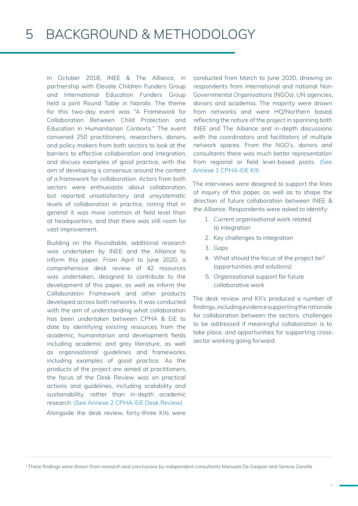In October 2018, INEE & The Alliance, in partnership with Elevate Children Funders Group and International Education Funders Group held a joint Round Table in Nairobi. The theme for this two-day event was "A Framework for Collaboration Between Child Protection and Education in Humanitarian Contexts." The event convened 250 practitioners, researchers, donors, and policy makers from both sectors to look at the barriers to effective collaboration and integration, and discuss examples of good practice, with the aim of developing a consensus around the content of a framework for collaboration. Actors from both sectors were enthusiastic about collaboration, but reported unsatisfactory and unsystematic levels of collaboration in practice, noting that in general it was more common at field level than at headquarters, and that there was still room for vast improvement.

Building on the Roundtable, additional research was undertaken by INEE and the Alliance to inform this paper. From April to June 2020, a comprehensive desk review of 42 resources was undertaken, designed to contribute to the development of this paper, as well as inform the Collaboration Framework and other products developed across both networks. It was conducted with the aim of understanding what collaboration has been undertaken between CPHA & EiE to date by identifying existing resources from the academic, humanitarian and development fields including academic and grey literature, as well as organisational guidelines and frameworks, including examples of good practice. As the products of the project are aimed at practitioners, the focus of the Desk Review was on practical actions and guidelines, including scalability and sustainability, rather than in-depth academic research. (See Annexe 2 CPHA-EiE Desk Review) Alongside the desk review, forty-three KIIs were

conducted from March to June 2020, drawing on respondents from international and national Non-Governmental Organisations (NGOs), UN agencies, donors and academia. The majority were drawn from networks and were HQ/Northern based, reflecting the nature of the project in spanning both INEE and The Alliance and in-depth discussions with the coordinators and facilitators of multiple network spaces. From the NGO's, donors and consultants there was much better representation from regional or field level-based posts. (See Annexe 1 CPHA-EiE KII)

The interviews were designed to support the lines of inquiry of this paper, as well as to shape the direction of future collaboration between INEE & the Alliance. Respondents were asked to identify:

- 1. Current organisational work related to integration
- 2. Key challenges to integration
- 3. Gaps
- 4. What should the focus of the project be? (opportunities and solutions)
- 5. Organisational support for future collaborative work

The desk review and KII's produced a number of findings, including evidence supporting the rationale for collaboration between the sectors, challenges to be addressed if meaningful collaboration is to take place, and opportunities for supporting crosssector working going forward.

<sup>2</sup> These findings were drawn from research and conclusions by independent consultants Manuela De Gaspari and Serena Zanella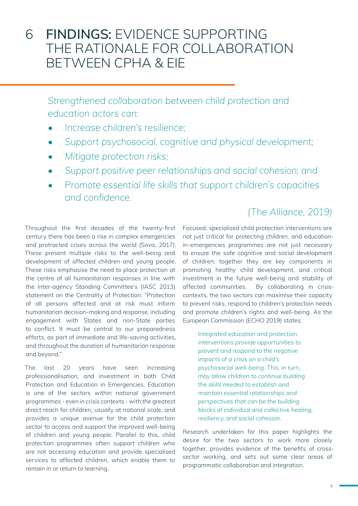### 6 **FINDINGS:** EVIDENCE SUPPORTING THE RATIONALE FOR COLLABORATION BETWEEN CPHA & EIE

*Strengthened collaboration between child protection and education actors can:*

- *• Increase children's resilience;*
- *• Support psychosocial, cognitive and physical development;*
- *• Mitigate protection risks;*
- *• Support positive peer relationships and social cohesion; and*
- *• Promote essential life skills that support children's capacities and confidence.*

Throughout the first decades of the twenty-first century there has been a rise in complex emergencies and protracted crises across the world (Sova, 2017). These present multiple risks to the well-being and development of affected children and young people. These risks emphasise the need to place protection at the centre of all humanitarian responses in line with the Inter-agency Standing Committee's (IASC 2013) statement on the Centrality of Protection: "Protection of all persons affected and at risk must inform humanitarian decision-making and response, including engagement with States and non-State parties to conflict. It must be central to our preparedness efforts, as part of immediate and life-saving activities, and throughout the duration of humanitarian response and beyond."

The last 20 years have seen increasing professionalisation, and investment in both Child Protection and Education in Emergencies. Education is one of the sectors within national government programmes - even in crisis contexts - with the greatest direct reach for children, usually at national scale, and provides a unique avenue for the child protection sector to access and support the improved well-being of children and young people. Parallel to this, child protection programmes often support children who are not accessing education and provide specialised services to affected children, which enable them to remain in or return to learning.

### *(The Alliance, 2019)*

Focused, specialised child protection interventions are not just critical for protecting children, and educationin-emergencies programmes are not just necessary to ensure the safe cognitive and social development of children; together they are key components in promoting healthy child development, and critical investment in the future well-being and stability of affected communities. By collaborating in crisiscontexts, the two sectors can maximise their capacity to prevent risks, respond to children's protection needs and promote children's rights and well-being. As the European Commission (ECHO 2019) states:

*Integrated education and protection interventions provide opportunities to prevent and respond to the negative impacts of a crisis on a child's psychosocial well-being. This, in turn, may allow children to continue building the skills needed to establish and maintain essential relationships and perspectives that can be the building blocks of individual and collective healing, resiliency, and social cohesion.*

Research undertaken for this paper highlights the desire for the two sectors to work more closely together, provides evidence of the benefits of crosssector working, and sets out some clear areas of programmatic collaboration and integration.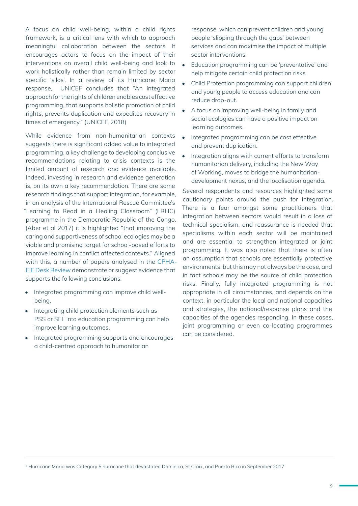A focus on child well-being, within a child rights framework, is a critical lens with which to approach meaningful collaboration between the sectors. It encourages actors to focus on the impact of their interventions on overall child well-being and look to work holistically rather than remain limited by sector specific 'silos'. In a review of its Hurricane Maria response, UNICEF concludes that "An integrated approach for the rights of children enables cost effective programming, that supports holistic promotion of child rights, prevents duplication and expedites recovery in times of emergency." (UNICEF, 2018)

While evidence from non-humanitarian contexts suggests there is significant added value to integrated programming, a key challenge to developing conclusive recommendations relating to crisis contexts is the limited amount of research and evidence available. Indeed, investing in research and evidence generation is, on its own a key recommendation. There are some research findings that support integration, for example, in an analysis of the International Rescue Committee's "Learning to Read in a Healing Classroom" (LRHC) programme in the Democratic Republic of the Congo, (Aber et al 2017) it is highlighted "that improving the caring and supportiveness of school ecologies may be a viable and promising target for school-based efforts to improve learning in conflict affected contexts." Aligned with this, a number of papers analysed in the CPHA-EiE Desk Review demonstrate or suggest evidence that supports the following conclusions:

- Integrated programming can improve child wellbeing.
- Integrating child protection elements such as PSS or SEL into education programming can help improve learning outcomes.
- Integrated programming supports and encourages a child-centred approach to humanitarian

response, which can prevent children and young people 'slipping through the gaps' between services and can maximise the impact of multiple sector interventions.

- Education programming can be 'preventative' and help mitigate certain child protection risks
- Child Protection programming can support children and young people to access education and can reduce drop-out.
- A focus on improving well-being in family and social ecologies can have a positive impact on learning outcomes.
- Integrated programming can be cost effective and prevent duplication.
- Integration gligns with current efforts to transform humanitarian delivery, including the New Way of Working, moves to bridge the humanitariandevelopment nexus, and the localisation agenda.

Several respondents and resources highlighted some cautionary points around the push for integration. There is a fear amongst some practitioners that integration between sectors would result in a loss of technical specialism, and reassurance is needed that specialisms within each sector will be maintained and are essential to strengthen integrated or joint programming. It was also noted that there is often an assumption that schools are essentially protective environments, but this may not always be the case, and in fact schools may be the source of child protection risks. Finally, fully integrated programming is not appropriate in all circumstances, and depends on the context, in particular the local and national capacities and strategies, the national/response plans and the capacities of the agencies responding. In these cases, joint programming or even co-locating programmes can be considered.

3 Hurricane Maria was Category 5 hurricane that devastated Dominica, St Croix, and Puerto Rico in September 2017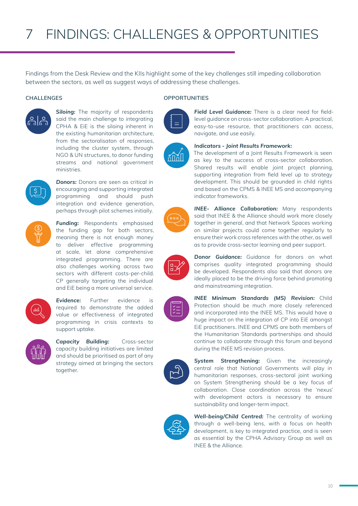Findings from the Desk Review and the KIIs highlight some of the key challenges still impeding collaboration between the sectors, as well as suggest ways of addressing these challenges.



**Siloing:** The majority of respondents said the main challenge to integrating CPHA & EiE is the siloing inherent in the existing humanitarian architecture, from the sectoralisaton of responses, including the cluster system, through NGO & UN structures, to donor funding streams and national government ministries.



**Donors:** Donors are seen as critical in encouraging and supporting integrated programming and should push integration and evidence generation, perhaps through pilot schemes initially.



*Funding:* Respondents emphasised the funding gap for both sectors, meaning there is not enough money to deliver effective programming at scale, let alone comprehensive integrated programming. There are also challenges working across two sectors with different costs-per-child. CP generally targeting the individual and EiE being a more universal service.



*Evidence:* Further evidence is required to demonstrate the added value or effectiveness of integrated programming in crisis contexts to support uptake.



*Capacity Building:* Cross-sector capacity building initiatives are limited and should be prioritised as part of any strategy aimed at bringing the sectors together.







*System Strengthening:* Given the increasingly central role that National Governments will play in humanitarian responses, cross-sectoral joint working on System Strengthening should be a key focus of collaboration. Close coordination across the 'nexus' with development actors is necessary to ensure sustainability and longer-term impact.



*Well-being/Child Centred:* The centrality of working through a well-being lens, with a focus on health development, is key to integrated practice, and is seen as essential by the CPHA Advisory Group as well as INEE & the Alliance.

#### **CHALLENGES OPPORTUNITIES**







*INEE- Alliance Collaboration:* Many respondents said that INEE & the Alliance should work more closely together in general, and that Network Spaces working on similar projects could come together regularly to ensure their work cross references with the other, as well as to provide cross-sector learning and peer support.

*Field Level Guidance:* There is a clear need for fieldlevel guidance on cross-sector collaboration: A practical, easy-to-use resource, that practitioners can access,

The development of a Joint Results Framework is seen as key to the success of cross-sector collaboration. Shared results will enable joint project planning, supporting integration from field level up to strategy development. This should be grounded in child rights and based on the CPMS & INEE MS and accompanying

navigate, and use easily.

indicator frameworks.

*Indicators - Joint Results Framework:*



*Donor Guidance:* Guidance for donors on what comprises quality integrated programming should be developed. Respondents also said that donors are ideally placed to be the driving force behind promoting and mainstreaming integration.

*INEE Minimum Standards (MS) Revision:* Child Protection should be much more closely referenced and incorporated into the INEE MS. This would have a huge impact on the integration of CP into EiE amongst EiE practitioners. INEE and CPMS are both members of the Humanitarian Standards partnerships and should continue to collaborate through this forum and beyond during the INEE MS revision process.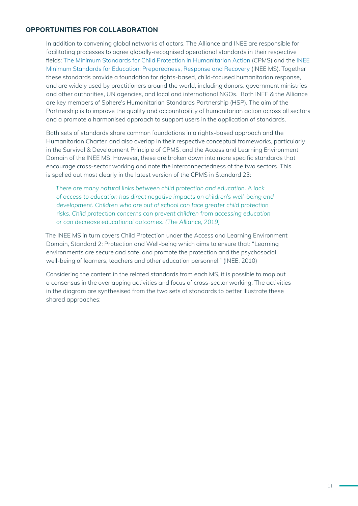#### **OPPORTUNITIES FOR COLLABORATION**

In addition to convening global networks of actors, The Alliance and INEE are responsible for facilitating processes to agree globally-recognised operational standards in their respective fields: The Minimum Standards for Child Protection in Humanitarian Action (CPMS) and the INEE Minimum Standards for Education: Preparedness, Response and Recovery (INEE MS). Together these standards provide a foundation for rights-based, child-focused humanitarian response, and are widely used by practitioners around the world, including donors, government ministries and other authorities, UN agencies, and local and international NGOs. Both INEE & the Alliance are key members of Sphere's Humanitarian Standards Partnership (HSP). The aim of the Partnership is to improve the quality and accountability of humanitarian action across all sectors and a promote a harmonised approach to support users in the application of standards.

Both sets of standards share common foundations in a rights-based approach and the Humanitarian Charter, and also overlap in their respective conceptual frameworks, particularly in the Survival & Development Principle of CPMS, and the Access and Learning Environment Domain of the INEE MS. However, these are broken down into more specific standards that encourage cross-sector working and note the interconnectedness of the two sectors. This is spelled out most clearly in the latest version of the CPMS in Standard 23:

*There are many natural links between child protection and education. A lack of access to education has direct negative impacts on children's well-being and development. Children who are out of school can face greater child protection risks. Child protection concerns can prevent children from accessing education or can decrease educational outcomes. (The Alliance, 2019)*

The INEE MS in turn covers Child Protection under the Access and Learning Environment Domain, Standard 2: Protection and Well-being which aims to ensure that: "Learning environments are secure and safe, and promote the protection and the psychosocial well-being of learners, teachers and other education personnel." (INEE, 2010)

Considering the content in the related standards from each MS, it is possible to map out a consensus in the overlapping activities and focus of cross-sector working. The activities in the diagram are synthesised from the two sets of standards to better illustrate these shared approaches: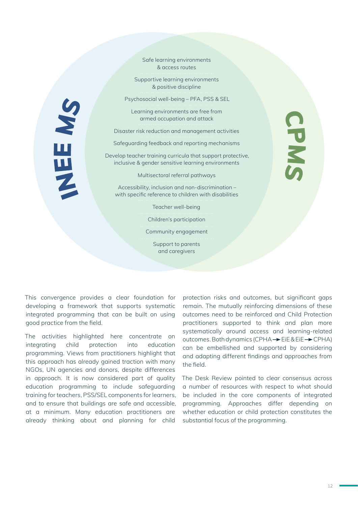Safe learning environments & access routes Supportive learning environments & positive discipline Psychosocial well-being – PFA, PSS & SEL NHE MS CPMS Learning environments are free from armed occupation and attack Disaster risk reduction and management activities Safeguarding feedback and reporting mechanisms Develop teacher training curricula that support protective, inclusive & gender sensitive learning environments Multisectoral referral pathways Accessibility, inclusion and non-discrimination – with specific reference to children with disabilities Teacher well-being Children's participation Community engagement Support to parents

and caregivers

This convergence provides a clear foundation for developing a framework that supports systematic integrated programming that can be built on using good practice from the field.

The activities highlighted here concentrate on integrating child protection into education programming. Views from practitioners highlight that this approach has already gained traction with many NGOs, UN agencies and donors, despite differences in approach. It is now considered part of quality education programming to include safeguarding training for teachers, PSS/SEL components for learners, and to ensure that buildings are safe and accessible, at a minimum. Many education practitioners are already thinking about and planning for child protection risks and outcomes, but significant gaps remain. The mutually reinforcing dimensions of these outcomes need to be reinforced and Child Protection practitioners supported to think and plan more systematically around access and learning-related outcomes. Both dynamics (CPHA  $\rightarrow$  EiE & EiE  $\rightarrow$  CPHA) can be embellished and supported by considering and adapting different findings and approaches from the field.

The Desk Review pointed to clear consensus across a number of resources with respect to what should be included in the core components of integrated programming. Approaches differ depending on whether education or child protection constitutes the substantial focus of the programming.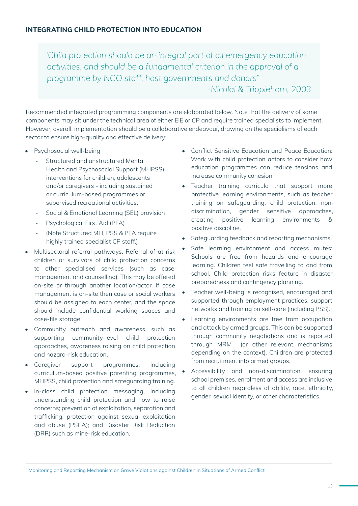*"Child protection should be an integral part of all emergency education activities, and should be a fundamental criterion in the approval of a programme by NGO staff, host governments and donors" -Nicolai & Tripplehorn, 2003*

Recommended integrated programming components are elaborated below. Note that the delivery of some components may sit under the technical area of either EiE or CP and require trained specialists to implement. However, overall, implementation should be a collaborative endeavour, drawing on the specialisms of each sector to ensure high-quality and effective delivery:

- Psychosocial well-being
	- Structured and unstructured Mental Health and Psychosocial Support (MHPSS) interventions for children, adolescents and/or caregivers - including sustained or curriculum-based programmes or supervised recreational activities.
	- Social & Emotional Learning (SEL) provision
	- Psychological First Aid (PFA)
	- (Note Structured MH, PSS & PFA require highly trained specialist CP staff.)
- Multisectoral referral pathways: Referral of at risk children or survivors of child protection concerns to other specialised services (such as casemanagement and counselling). This may be offered on-site or through another location/actor. If case management is on-site then case or social workers should be assigned to each center, and the space should include confidential working spaces and case-file storage.
- Community outreach and awareness, such as supporting community-level child protection approaches, awareness raising on child protection and hazard-risk education.
- Caregiver support programmes, including curriculum-based positive parenting programmes, MHPSS, child protection and safeguarding training.
- In-class child protection messaging, including understanding child protection and how to raise concerns; prevention of exploitation, separation and trafficking; protection against sexual exploitation and abuse (PSEA); and Disaster Risk Reduction (DRR) such as mine-risk education.
- Conflict Sensitive Education and Peace Education: Work with child protection actors to consider how education programmes can reduce tensions and increase community cohesion.
- Teacher training curricula that support more protective learning environments, such as teacher training on safeguarding, child protection, nondiscrimination, gender sensitive approaches, creating positive learning environments & positive discipline.
- Safeguarding feedback and reporting mechanisms.
- Safe learning environment and access routes: Schools are free from hazards and encourage learning. Children feel safe travelling to and from school. Child protection risks feature in disaster preparedness and contingency planning.
- Teacher well-being is recognised, encouraged and supported through employment practices, support networks and training on self-care (including PSS).
- Learning environments are free from occupation and attack by armed groups. This can be supported through community negotiations and is reported through MRM (or other relevant mechanisms depending on the context). Children are protected from recruitment into armed groups.
- Accessibility and non-discrimination, ensuring school premises, enrolment and access are inclusive to all children regardless of ability, race, ethnicity, gender, sexual identity, or other characteristics.

<sup>4</sup> Monitoring and Reporting Mechanism on Grave Violations against Children in Situations of Armed Conflict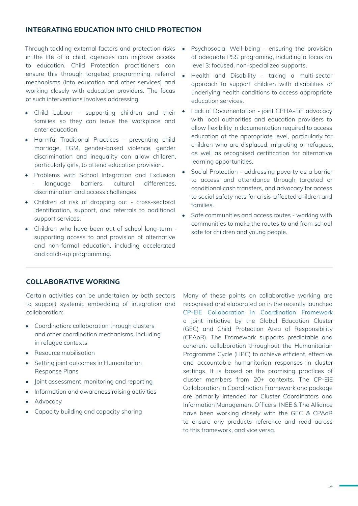#### **INTEGRATING EDUCATION INTO CHILD PROTECTION**

Through tackling external factors and protection risks in the life of a child, agencies can improve access to education. Child Protection practitioners can ensure this through targeted programming, referral mechanisms (into education and other services) and working closely with education providers. The focus of such interventions involves addressing:

- Child Labour supporting children and their families so they can leave the workplace and enter education.
- Harmful Traditional Practices preventing child marriage, FGM, gender-based violence, gender discrimination and inequality can allow children, particularly girls, to attend education provision.
- Problems with School Integration and Exclusion language barriers, cultural differences, discrimination and access challenges.
- Children at risk of dropping out cross-sectoral identification, support, and referrals to additional support services.
- Children who have been out of school long-term supporting access to and provision of alternative and non-formal education, including accelerated and catch-up programming.
- Psychosocial Well-being ensuring the provision of adequate PSS programing, including a focus on level 3: focused, non-specialized supports.
- Health and Disability taking a multi-sector approach to support children with disabilities or underlying health conditions to access appropriate education services.
- Lack of Documentation joint CPHA-EiE advocacy with local authorities and education providers to allow flexibility in documentation required to access education at the appropriate level, particularly for children who are displaced, migrating or refugees, as well as recognised certification for alternative learning opportunities.
- Social Protection addressing poverty as a barrier to access and attendance through targeted or conditional cash transfers, and advocacy for access to social safety nets for crisis-affected children and families.
- Safe communities and access routes working with communities to make the routes to and from school safe for children and young people.

#### **COLLABORATIVE WORKING**

Certain activities can be undertaken by both sectors to support systemic embedding of integration and collaboration:

- Coordination: collaboration through clusters and other coordination mechanisms, including in refugee contexts
- Resource mobilisation
- Setting joint outcomes in Humanitarian Response Plans
- Joint assessment, monitoring and reporting
- Information and awareness raising activities
- Advocacy
- Capacity building and capacity sharing

Many of these points on collaborative working are recognised and elaborated on in the recently launched CP-EiE Collaboration in Coordination Framework a joint initiative by the Global Education Cluster (GEC) and Child Protection Area of Responsibility (CPAoR). The Framework supports predictable and coherent collaboration throughout the Humanitarian Programme Cycle (HPC) to achieve efficient, effective, and accountable humanitarian responses in cluster settings. It is based on the promising practices of cluster members from 20+ contexts. The CP-EiE Collaboration in Coordination Framework and package are primarily intended for Cluster Coordinators and Information Management Officers. INEE & The Alliance have been working closely with the GEC & CPAoR to ensure any products reference and read across to this framework, and vice versa.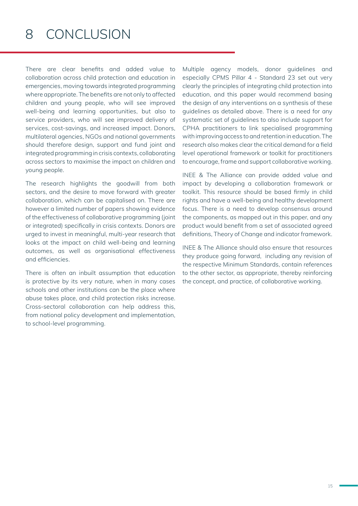### 8 CONCLUSION

There are clear benefits and added value to collaboration across child protection and education in emergencies, moving towards integrated programming where appropriate. The benefits are not only to affected children and young people, who will see improved well-being and learning opportunities, but also to service providers, who will see improved delivery of services, cost-savings, and increased impact. Donors, multilateral agencies, NGOs and national governments should therefore design, support and fund joint and integrated programming in crisis contexts, collaborating across sectors to maximise the impact on children and young people.

The research highlights the goodwill from both sectors, and the desire to move forward with greater collaboration, which can be capitalised on. There are however a limited number of papers showing evidence of the effectiveness of collaborative programming (joint or integrated) specifically in crisis contexts. Donors are urged to invest in meaningful, multi-year research that looks at the impact on child well-being and learning outcomes, as well as organisational effectiveness and efficiencies.

There is often an inbuilt assumption that education is protective by its very nature, when in many cases schools and other institutions can be the place where abuse takes place, and child protection risks increase. Cross-sectoral collaboration can help address this, from national policy development and implementation, to school-level programming.

Multiple agency models, donor guidelines and especially CPMS Pillar 4 - Standard 23 set out very clearly the principles of integrating child protection into education, and this paper would recommend basing the design of any interventions on a synthesis of these guidelines as detailed above. There is a need for any systematic set of guidelines to also include support for CPHA practitioners to link specialised programming with improving access to and retention in education. The research also makes clear the critical demand for a field level operational framework or toolkit for practitioners to encourage, frame and support collaborative working.

INEE & The Alliance can provide added value and impact by developing a collaboration framework or toolkit. This resource should be based firmly in child rights and have a well-being and healthy development focus. There is a need to develop consensus around the components, as mapped out in this paper, and any product would benefit from a set of associated agreed definitions, Theory of Change and indicator framework.

INEE & The Alliance should also ensure that resources they produce going forward, including any revision of the respective Minimum Standards, contain references to the other sector, as appropriate, thereby reinforcing the concept, and practice, of collaborative working.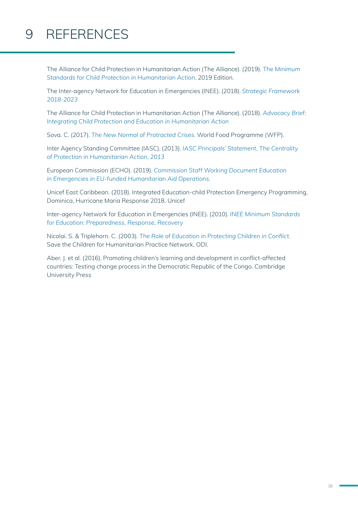# 9 REFERENCES

The Alliance for Child Protection in Humanitarian Action (The Alliance). (2019). *The Minimum Standards for Child Protection in Humanitarian Action,* 2019 Edition.

The Inter-agency Network for Education in Emergencies (INEE). (2018). *Strategic Framework 2018-2023*

The Alliance for Child Protection in Humanitarian Action (The Alliance). (2018). *Advocacy Brief: Integrating Child Protection and Education in Humanitarian Action*

Sova. C. (2017). *The New Normal of Protracted Crises*. World Food Programme (WFP).

Inter Agency Standing Committee (IASC). (2013). *IASC Principals' Statement, The Centrality of Protection in Humanitarian Action, 2013*

European Commission (ECHO). (2019). *Commission Staff Working Document Education in Emergencies in EU-funded Humanitarian Aid Operations.*

Unicef East Caribbean. (2018). Integrated Education-child Protection Emergency Programming, Dominica, Hurricane Maria Response 2018. Unicef

Inter-agency Network for Education in Emergencies (INEE). (2010). *INEE Minimum Standards for Education: Preparedness, Response, Recovery*

Nicolai. S. & Triplehorn. C. (2003). *The Role of Education in Protecting Children in Conflict.* Save the Children for Humanitarian Practice Network, ODI.

Aber. J. et al. (2016). Promoting children's learning and development in conflict-affected countries: Testing change process in the Democratic Republic of the Congo. Cambridge University Press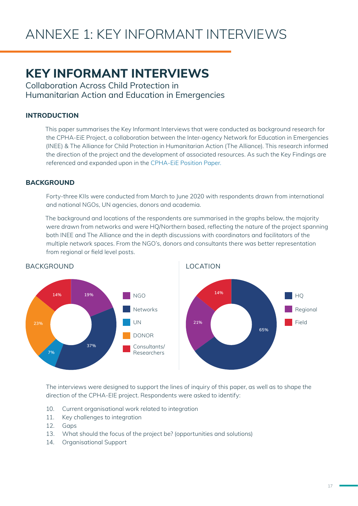### **KEY INFORMANT INTERVIEWS**

Collaboration Across Child Protection in Humanitarian Action and Education in Emergencies

#### **INTRODUCTION**

This paper summarises the Key Informant Interviews that were conducted as background research for the CPHA-EiE Project, a collaboration between the Inter-agency Network for Education in Emergencies (INEE) & The Alliance for Child Protection in Humanitarian Action (The Alliance). This research informed the direction of the project and the development of associated resources. As such the Key Findings are referenced and expanded upon in the CPHA-EiE Position Paper.

#### **BACKGROUND**

Forty-three KIIs were conducted from March to June 2020 with respondents drawn from international and national NGOs, UN agencies, donors and academia.

The background and locations of the respondents are summarised in the graphs below, the majority were drawn from networks and were HQ/Northern based, reflecting the nature of the project spanning both INEE and The Alliance and the in depth discussions with coordinators and facilitators of the multiple network spaces. From the NGO's, donors and consultants there was better representation from regional or field level posts.



The interviews were designed to support the lines of inquiry of this paper, as well as to shape the direction of the CPHA-EIE project. Respondents were asked to identify:

- 10. Current organisational work related to integration
- 11. Key challenges to integration
- 12. Gaps
- 13. What should the focus of the project be? (opportunities and solutions)
- 14. Organisational Support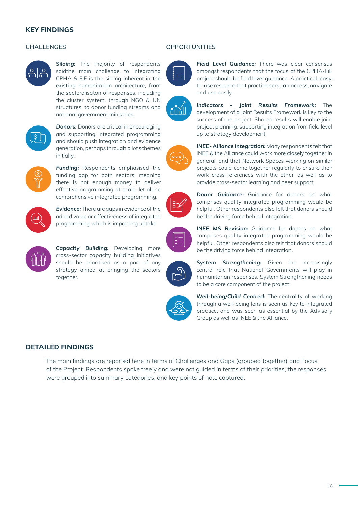#### **KEY FINDINGS**



**Siloing:** The majority of respondents saidthe main challenge to integrating CPHA & EiE is the siloing inherent in the existing humanitarian architecture, from the sectoralisaton of responses, including the cluster system, through NGO & UN structures, to donor funding streams and national government ministries.



**Donors:** Donors are critical in encouraging and supporting integrated programming and should push integration and evidence generation, perhaps through pilot schemes initially.



*Funding:* Respondents emphasised the funding gap for both sectors, meaning there is not enough money to deliver effective programming at scale, let alone comprehensive integrated programming.



*Evidence:* There are gaps in evidence of the added value or effectiveness of integrated programming which is impacting uptake



*Capacity Building:* Developing more cross-sector capacity building initiatives should be prioritised as a part of any strategy aimed at bringing the sectors together.





 $\circ$  000



**CHALLENGES OPPORTUNITIES**



*Field Level Guidance:* There was clear consensus amongst respondents that the focus of the CPHA-EiE project should be field level guidance. A practical, easyto-use resource that practitioners can access, navigate and use easily.

*Indicators - Joint Results Framework:* The development of a Joint Results Framework is key to the success of the project. Shared results will enable joint project planning, supporting integration from field level up to strategy development.

*INEE- Alliance Integration:* Many respondents felt that INEE & the Alliance could work more closely together in general, and that Network Spaces working on similar projects could come together regularly to ensure their work cross references with the other, as well as to provide cross-sector learning and peer support.

*Donor Guidance:* Guidance for donors on what comprises quality integrated programming would be helpful. Other respondents also felt that donors should be the driving force behind integration.

*INEE MS Revision:* Guidance for donors on what comprises quality integrated programming would be helpful. Other respondents also felt that donors should be the driving force behind integration.



*System Strengthening:* Given the increasingly central role that National Governments will play in humanitarian responses, System Strengthening needs to be a core component of the project.

*Well-being/Child Centred:* The centrality of working through a well-being lens is seen as key to integrated practice, and was seen as essential by the Advisory Group as well as INEE & the Alliance.

#### **DETAILED FINDINGS**

The main findings are reported here in terms of Challenges and Gaps (grouped together) and Focus of the Project. Respondents spoke freely and were not guided in terms of their priorities, the responses were grouped into summary categories, and key points of note captured.



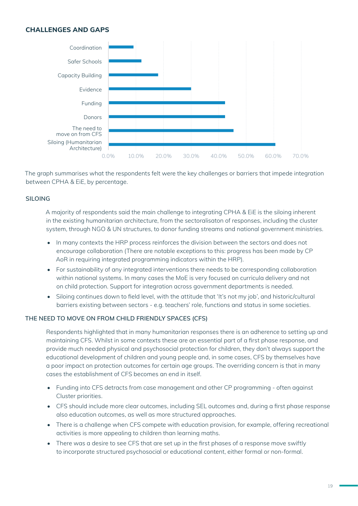#### **CHALLENGES AND GAPS**



The graph summarises what the respondents felt were the key challenges or barriers that impede integration between CPHA & EiE, by percentage.

#### **SILOING**

A majority of respondents said the main challenge to integrating CPHA & EiE is the siloing inherent in the existing humanitarian architecture, from the sectoralisaton of responses, including the cluster system, through NGO & UN structures, to donor funding streams and national government ministries.

- In many contexts the HRP process reinforces the division between the sectors and does not encourage collaboration (There are notable exceptions to this: progress has been made by CP AoR in requiring integrated programming indicators within the HRP).
- For sustainability of any integrated interventions there needs to be corresponding collaboration within national systems. In many cases the MoE is very focused on curricula delivery and not on child protection. Support for integration across government departments is needed.
- Siloing continues down to field level, with the attitude that 'It's not my job', and historic/cultural barriers existing between sectors - e.g. teachers' role, functions and status in some societies.

#### **THE NEED TO MOVE ON FROM CHILD FRIENDLY SPACES (CFS)**

Respondents highlighted that in many humanitarian responses there is an adherence to setting up and maintaining CFS. Whilst in some contexts these are an essential part of a first phase response, and provide much needed physical and psychosocial protection for children, they don't always support the educational development of children and young people and, in some cases, CFS by themselves have a poor impact on protection outcomes for certain age groups. The overriding concern is that in many cases the establishment of CFS becomes an end in itself.

- Funding into CFS detracts from case management and other CP programming often against Cluster priorities.
- CFS should include more clear outcomes, including SEL outcomes and, during a first phase response also education outcomes, as well as more structured approaches.
- There is a challenge when CFS compete with education provision, for example, offering recreational activities is more appealing to children than learning maths.
- There was a desire to see CFS that are set up in the first phases of a response move swiftly to incorporate structured psychosocial or educational content, either formal or non-formal.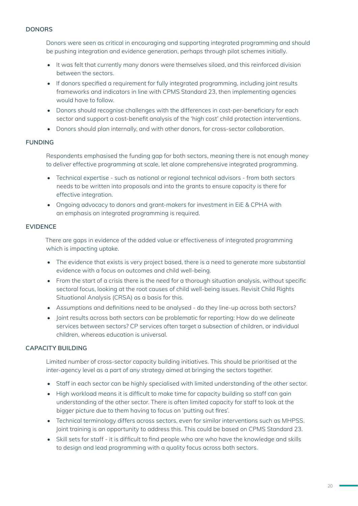#### **DONORS**

Donors were seen as critical in encouraging and supporting integrated programming and should be pushing integration and evidence generation, perhaps through pilot schemes initially.

- It was felt that currently many donors were themselves siloed, and this reinforced division between the sectors.
- If donors specified a requirement for fully integrated programming, including joint results frameworks and indicators in line with CPMS Standard 23, then implementing agencies would have to follow.
- Donors should recognise challenges with the differences in cost-per-beneficiary for each sector and support a cost-benefit analysis of the 'high cost' child protection interventions.
- Donors should plan internally, and with other donors, for cross-sector collaboration.

#### **FUNDING**

Respondents emphasised the funding gap for both sectors, meaning there is not enough money to deliver effective programming at scale, let alone comprehensive integrated programming.

- Technical expertise such as national or regional technical advisors from both sectors needs to be written into proposals and into the grants to ensure capacity is there for effective integration.
- Ongoing advocacy to donors and grant-makers for investment in EiE & CPHA with an emphasis on integrated programming is required.

#### **EVIDENCE**

There are gaps in evidence of the added value or effectiveness of integrated programming which is impacting uptake.

- The evidence that exists is very project based, there is a need to generate more substantial evidence with a focus on outcomes and child well-being.
- From the start of a crisis there is the need for a thorough situation analysis, without specific sectoral focus, looking at the root causes of child well-being issues. Revisit Child Rights Situational Analysis (CRSA) as a basis for this.
- Assumptions and definitions need to be analysed do they line-up across both sectors?
- Joint results across both sectors can be problematic for reporting: How do we delineate services between sectors? CP services often target a subsection of children, or individual children, whereas education is universal.

#### **CAPACITY BUILDING**

Limited number of cross-sector capacity building initiatives. This should be prioritised at the inter-agency level as a part of any strategy aimed at bringing the sectors together.

- Staff in each sector can be highly specialised with limited understanding of the other sector.
- High workload means it is difficult to make time for capacity building so staff can gain understanding of the other sector. There is often limited capacity for staff to look at the bigger picture due to them having to focus on 'putting out fires'.
- Technical terminology differs across sectors, even for similar interventions such as MHPSS. Joint training is an opportunity to address this. This could be based on CPMS Standard 23.
- Skill sets for staff it is difficult to find people who are who have the knowledge and skills to design and lead programming with a quality focus across both sectors.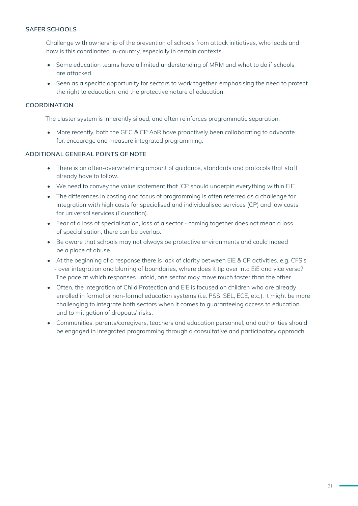#### **SAFER SCHOOLS**

Challenge with ownership of the prevention of schools from attack initiatives, who leads and how is this coordinated in-country, especially in certain contexts.

- Some education teams have a limited understanding of MRM and what to do if schools are attacked.
- Seen as a specific opportunity for sectors to work together, emphasising the need to protect the right to education, and the protective nature of education.

#### **COORDINATION**

The cluster system is inherently siloed, and often reinforces programmatic separation.

• More recently, both the GEC & CP AoR have proactively been collaborating to advocate for, encourage and measure integrated programming.

#### **ADDITIONAL GENERAL POINTS OF NOTE**

- There is an often-overwhelming amount of guidance, standards and protocols that staff already have to follow.
- We need to convey the value statement that 'CP should underpin everything within EiE'.
- The differences in costing and focus of programming is often referred as a challenge for integration with high costs for specialised and individualised services (CP) and low costs for universal services (Education).
- Fear of a loss of specialisation, loss of a sector coming together does not mean a loss of specialisation, there can be overlap.
- Be aware that schools may not always be protective environments and could indeed be a place of abuse.
- At the beginning of a response there is lack of clarity between EiE & CP activities, e.g. CFS's - over integration and blurring of boundaries, where does it tip over into EiE and vice versa? The pace at which responses unfold, one sector may move much faster than the other.
- Often, the integration of Child Protection and EiE is focused on children who are already enrolled in formal or non-formal education systems (i.e. PSS, SEL, ECE, etc,). It might be more challenging to integrate both sectors when it comes to guaranteeing access to education and to mitigation of dropouts' risks.
- Communities, parents/caregivers, teachers and education personnel, and authorities should be engaged in integrated programming through a consultative and participatory approach.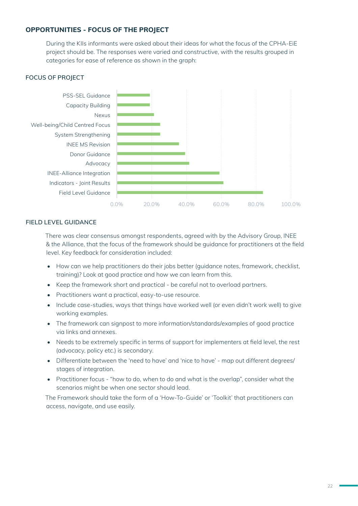#### **OPPORTUNITIES - FOCUS OF THE PROJECT**

During the KIIs informants were asked about their ideas for what the focus of the CPHA-EiE project should be. The responses were varied and constructive, with the results grouped in categories for ease of reference as shown in the graph:

#### **FOCUS OF PROJECT**



#### **FIELD LEVEL GUIDANCE**

There was clear consensus amongst respondents, agreed with by the Advisory Group, INEE & the Alliance, that the focus of the framework should be guidance for practitioners at the field level. Key feedback for consideration included:

- How can we help practitioners do their jobs better (guidance notes, framework, checklist, training)? Look at good practice and how we can learn from this.
- Keep the framework short and practical be careful not to overload partners.
- Practitioners want a practical, easy-to-use resource.
- Include case-studies, ways that things have worked well (or even didn't work well) to give working examples.
- The framework can signpost to more information/standards/examples of good practice via links and annexes.
- Needs to be extremely specific in terms of support for implementers at field level, the rest (advocacy, policy etc.) is secondary.
- Differentiate between the 'need to have' and 'nice to have' map out different degrees/ stages of integration.
- Practitioner focus "how to do, when to do and what is the overlap", consider what the scenarios might be when one sector should lead.

The Framework should take the form of a 'How-To-Guide' or 'Toolkit' that practitioners can access, navigate, and use easily.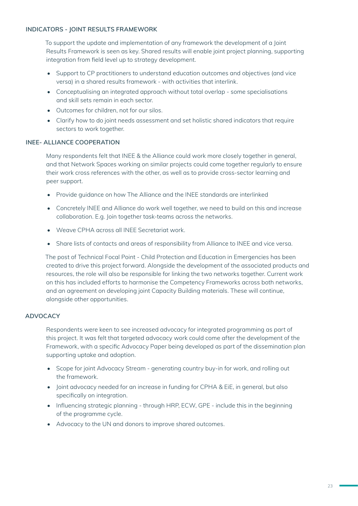#### **INDICATORS - JOINT RESULTS FRAMEWORK**

To support the update and implementation of any framework the development of a Joint Results Framework is seen as key. Shared results will enable joint project planning, supporting integration from field level up to strategy development.

- Support to CP practitioners to understand education outcomes and objectives (and vice versa) in a shared results framework - with activities that interlink.
- Conceptualising an integrated approach without total overlap some specialisations and skill sets remain in each sector.
- Outcomes for children, not for our silos.
- Clarify how to do joint needs assessment and set holistic shared indicators that require sectors to work together.

#### **INEE- ALLIANCE COOPERATION**

Many respondents felt that INEE & the Alliance could work more closely together in general, and that Network Spaces working on similar projects could come together regularly to ensure their work cross references with the other, as well as to provide cross-sector learning and peer support.

- Provide guidance on how The Alliance and the INEE standards are interlinked
- Concretely INEE and Alliance do work well together, we need to build on this and increase collaboration. E.g. Join together task-teams across the networks.
- Weave CPHA across all INEE Secretariat work.
- Share lists of contacts and areas of responsibility from Alliance to INEE and vice versa.

The post of Technical Focal Point - Child Protection and Education in Emergencies has been created to drive this project forward. Alongside the development of the associated products and resources, the role will also be responsible for linking the two networks together. Current work on this has included efforts to harmonise the Competency Frameworks across both networks, and an agreement on developing joint Capacity Building materials. These will continue, alongside other opportunities.

#### **ADVOCACY**

Respondents were keen to see increased advocacy for integrated programming as part of this project. It was felt that targeted advocacy work could come after the development of the Framework, with a specific Advocacy Paper being developed as part of the dissemination plan supporting uptake and adoption.

- Scope for joint Advocacy Stream generating country buy-in for work, and rolling out the framework.
- Joint advocacy needed for an increase in funding for CPHA & EiE, in general, but also specifically on integration.
- Influencing strategic planning through HRP, ECW, GPE include this in the beginning of the programme cycle.
- Advocacy to the UN and donors to improve shared outcomes.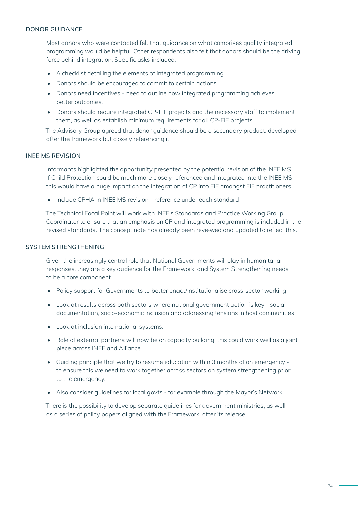#### **DONOR GUIDANCE**

Most donors who were contacted felt that guidance on what comprises quality integrated programming would be helpful. Other respondents also felt that donors should be the driving force behind integration. Specific asks included:

- A checklist detailing the elements of integrated programming.
- Donors should be encouraged to commit to certain actions.
- Donors need incentives need to outline how integrated programming achieves better outcomes.
- Donors should require integrated CP-EiE projects and the necessary staff to implement them, as well as establish minimum requirements for all CP-EiE projects.

The Advisory Group agreed that donor guidance should be a secondary product, developed after the framework but closely referencing it.

#### **INEE MS REVISION**

Informants highlighted the opportunity presented by the potential revision of the INEE MS. If Child Protection could be much more closely referenced and integrated into the INEE MS, this would have a huge impact on the integration of CP into EiE amongst EiE practitioners.

• Include CPHA in INEE MS revision - reference under each standard

The Technical Focal Point will work with INEE's Standards and Practice Working Group Coordinator to ensure that an emphasis on CP and integrated programming is included in the revised standards. The concept note has already been reviewed and updated to reflect this.

#### **SYSTEM STRENGTHENING**

Given the increasingly central role that National Governments will play in humanitarian responses, they are a key audience for the Framework, and System Strengthening needs to be a core component.

- Policy support for Governments to better enact/institutionalise cross-sector working
- Look at results across both sectors where national government action is key social documentation, socio-economic inclusion and addressing tensions in host communities
- Look at inclusion into national systems.
- Role of external partners will now be on capacity building; this could work well as a joint piece across INEE and Alliance.
- Guiding principle that we try to resume education within 3 months of an emergency to ensure this we need to work together across sectors on system strengthening prior to the emergency.
- Also consider guidelines for local govts for example through the Mayor's Network.

There is the possibility to develop separate guidelines for government ministries, as well as a series of policy papers aligned with the Framework, after its release.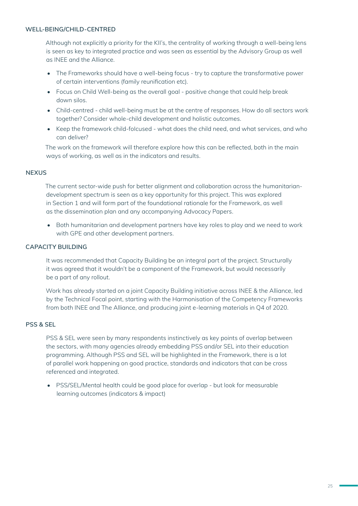#### **WELL-BEING/CHILD-CENTRED**

Although not explicitly a priority for the KII's, the centrality of working through a well-being lens is seen as key to integrated practice and was seen as essential by the Advisory Group as well as INEE and the Alliance.

- The Frameworks should have a well-being focus try to capture the transformative power of certain interventions (family reunification etc).
- Focus on Child Well-being as the overall goal positive change that could help break down silos.
- Child-centred child well-being must be at the centre of responses. How do all sectors work together? Consider whole-child development and holistic outcomes.
- Keep the framework child-folcused what does the child need, and what services, and who can deliver?

The work on the framework will therefore explore how this can be reflected, both in the main ways of working, as well as in the indicators and results.

#### **NEXUS**

The current sector-wide push for better alignment and collaboration across the humanitariandevelopment spectrum is seen as a key opportunity for this project. This was explored in Section 1 and will form part of the foundational rationale for the Framework, as well as the dissemination plan and any accompanying Advocacy Papers.

• Both humanitarian and development partners have key roles to play and we need to work with GPE and other development partners.

#### **CAPACITY BUILDING**

It was recommended that Capacity Building be an integral part of the project. Structurally it was agreed that it wouldn't be a component of the Framework, but would necessarily be a part of any rollout.

Work has already started on a joint Capacity Building initiative across INEE & the Alliance, led by the Technical Focal point, starting with the Harmonisation of the Competency Frameworks from both INEE and The Alliance, and producing joint e-learning materials in Q4 of 2020.

#### **PSS & SEL**

PSS & SEL were seen by many respondents instinctively as key points of overlap between the sectors, with many agencies already embedding PSS and/or SEL into their education programming. Although PSS and SEL will be highlighted in the Framework, there is a lot of parallel work happening on good practice, standards and indicators that can be cross referenced and integrated.

• PSS/SEL/Mental health could be good place for overlap - but look for measurable learning outcomes (indicators & impact)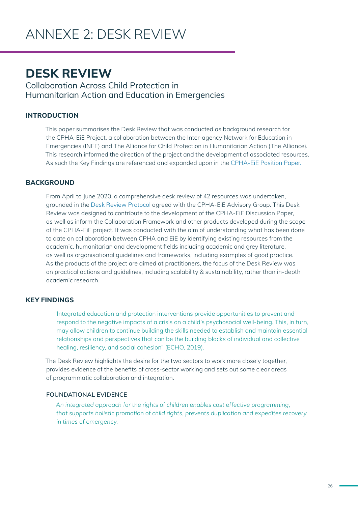### **DESK REVIEW**

Collaboration Across Child Protection in Humanitarian Action and Education in Emergencies

#### **INTRODUCTION**

This paper summarises the Desk Review that was conducted as background research for the CPHA-EiE Project, a collaboration between the Inter-agency Network for Education in Emergencies (INEE) and The Alliance for Child Protection in Humanitarian Action (The Alliance). This research informed the direction of the project and the development of associated resources. As such the Key Findings are referenced and expanded upon in the CPHA-EiE Position Paper.

#### **BACKGROUND**

From April to June 2020, a comprehensive desk review of 42 resources was undertaken, grounded in the Desk Review Protocol agreed with the CPHA-EiE Advisory Group. This Desk Review was designed to contribute to the development of the CPHA-EiE Discussion Paper, as well as inform the Collaboration Framework and other products developed during the scope of the CPHA-EiE project. It was conducted with the aim of understanding what has been done to date on collaboration between CPHA and EiE by identifying existing resources from the academic, humanitarian and development fields including academic and grey literature, as well as organisational guidelines and frameworks, including examples of good practice. As the products of the project are aimed at practitioners, the focus of the Desk Review was on practical actions and guidelines, including scalability & sustainability, rather than in-depth academic research.

#### **KEY FINDINGS**

"Integrated education and protection interventions provide opportunities to prevent and respond to the negative impacts of a crisis on a child's psychosocial well-being. This, in turn, may allow children to continue building the skills needed to establish and maintain essential relationships and perspectives that can be the building blocks of individual and collective healing, resiliency, and social cohesion" (ECHO, 2019).

The Desk Review highlights the desire for the two sectors to work more closely together, provides evidence of the benefits of cross-sector working and sets out some clear areas of programmatic collaboration and integration.

#### **FOUNDATIONAL EVIDENCE**

*An integrated approach for the rights of children enables cost effective programming, that supports holistic promotion of child rights, prevents duplication and expedites recovery in times of emergency.*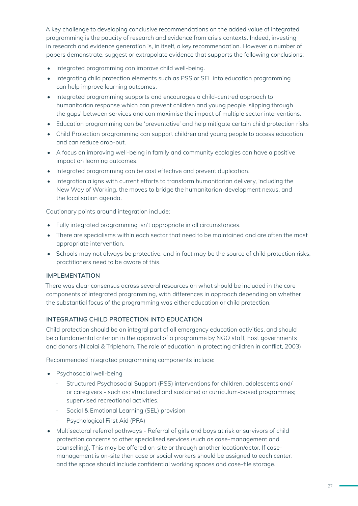A key challenge to developing conclusive recommendations on the added value of integrated programming is the paucity of research and evidence from crisis contexts. Indeed, investing in research and evidence generation is, in itself, a key recommendation. However a number of papers demonstrate, suggest or extrapolate evidence that supports the following conclusions:

- Integrated programming can improve child well-being.
- Integrating child protection elements such as PSS or SEL into education programming can help improve learning outcomes.
- Integrated programming supports and encourages a child-centred approach to humanitarian response which can prevent children and young people 'slipping through the gaps' between services and can maximise the impact of multiple sector interventions.
- Education programming can be 'preventative' and help mitigate certain child protection risks
- Child Protection programming can support children and young people to access education and can reduce drop-out.
- A focus on improving well-being in family and community ecologies can have a positive impact on learning outcomes.
- Integrated programming can be cost effective and prevent duplication.
- Integration aligns with current efforts to transform humanitarian delivery, including the New Way of Working, the moves to bridge the humanitarian-development nexus, and the localisation agenda.

Cautionary points around integration include:

- Fully integrated programming isn't appropriate in all circumstances.
- There are specialisms within each sector that need to be maintained and are often the most appropriate intervention.
- Schools may not always be protective, and in fact may be the source of child protection risks, practitioners need to be aware of this.

#### **IMPLEMENTATION**

There was clear consensus across several resources on what should be included in the core components of integrated programming, with differences in approach depending on whether the substantial focus of the programming was either education or child protection.

#### **INTEGRATING CHILD PROTECTION INTO EDUCATION**

Child protection should be an integral part of all emergency education activities, and should be a fundamental criterion in the approval of a programme by NGO staff, host governments and donors (Nicolai & Triplehorn, The role of education in protecting children in conflict, 2003)

Recommended integrated programming components include:

- Psychosocial well-being
	- Structured Psychosocial Support (PSS) interventions for children, adolescents and/ or caregivers - such as: structured and sustained or curriculum-based programmes; supervised recreational activities.
	- Social & Emotional Learning (SEL) provision
	- Psychological First Aid (PFA)
- Multisectoral referral pathways Referral of girls and boys at risk or survivors of child protection concerns to other specialised services (such as case-management and counselling). This may be offered on-site or through another location/actor. If casemanagement is on-site then case or social workers should be assigned to each center, and the space should include confidential working spaces and case-file storage.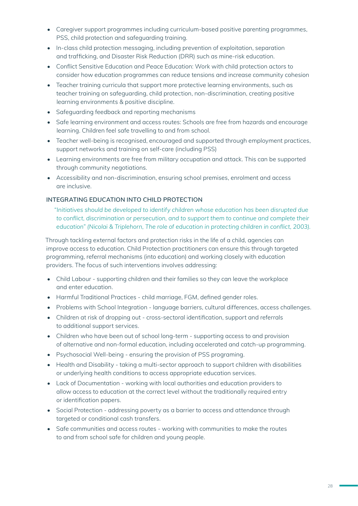- Caregiver support programmes including curriculum-based positive parenting programmes, PSS, child protection and safeguarding training.
- In-class child protection messaging, including prevention of exploitation, separation and trafficking, and Disaster Risk Reduction (DRR) such as mine-risk education.
- Conflict Sensitive Education and Peace Education: Work with child protection actors to consider how education programmes can reduce tensions and increase community cohesion
- Teacher training curricula that support more protective learning environments, such as teacher training on safeguarding, child protection, non-discrimination, creating positive learning environments & positive discipline.
- Safeguarding feedback and reporting mechanisms
- Safe learning environment and access routes: Schools are free from hazards and encourage learning. Children feel safe travelling to and from school.
- Teacher well-being is recognised, encouraged and supported through employment practices, support networks and training on self-care (including PSS)
- Learning environments are free from military occupation and attack. This can be supported through community negotiations.
- Accessibility and non-discrimination, ensuring school premises, enrolment and access are inclusive.

#### **INTEGRATING EDUCATION INTO CHILD PROTECTION**

*"Initiatives should be developed to identify children whose education has been disrupted due to conflict, discrimination or persecution, and to support them to continue and complete their education" (Nicolai & Triplehorn, The role of education in protecting children in conflict, 2003).*

Through tackling external factors and protection risks in the life of a child, agencies can improve access to education. Child Protection practitioners can ensure this through targeted programming, referral mechanisms (into education) and working closely with education providers. The focus of such interventions involves addressing:

- Child Labour supporting children and their families so they can leave the workplace and enter education.
- Harmful Traditional Practices child marriage, FGM, defined gender roles.
- Problems with School Integration language barriers, cultural differences, access challenges.
- Children at risk of dropping out cross-sectoral identification, support and referrals to additional support services.
- Children who have been out of school long-term supporting access to and provision of alternative and non-formal education, including accelerated and catch-up programming.
- Psychosocial Well-being ensuring the provision of PSS programing.
- Health and Disability taking a multi-sector approach to support children with disabilities or underlying health conditions to access appropriate education services.
- Lack of Documentation working with local authorities and education providers to allow access to education at the correct level without the traditionally required entry or identification papers.
- Social Protection addressing poverty as a barrier to access and attendance through targeted or conditional cash transfers.
- Safe communities and access routes working with communities to make the routes to and from school safe for children and young people.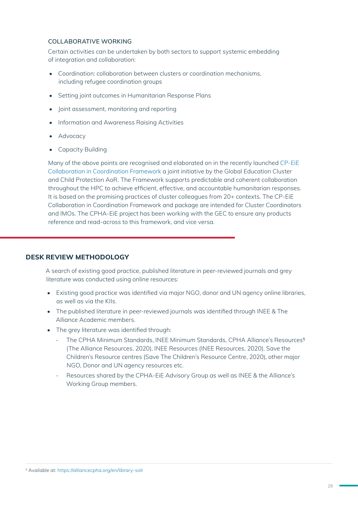#### **COLLABORATIVE WORKING**

Certain activities can be undertaken by both sectors to support systemic embedding of integration and collaboration:

- Coordination: collaboration between clusters or coordination mechanisms, including refugee coordination groups
- Setting joint outcomes in Humanitarian Response Plans
- Joint assessment, monitoring and reporting
- Information and Awareness Raising Activities
- Advocacy
- Capacity Building

Many of the above points are recognised and elaborated on in the recently launched CP-EiE Collaboration in Coordination Framework a joint initiative by the Global Education Cluster and Child Protection AoR. The Framework supports predictable and coherent collaboration throughout the HPC to achieve efficient, effective, and accountable humanitarian responses. It is based on the promising practices of cluster colleagues from 20+ contexts. The CP-EiE Collaboration in Coordination Framework and package are intended for Cluster Coordinators and IMOs. The CPHA-EiE project has been working with the GEC to ensure any products reference and read-across to this framework, and vice versa.

#### **DESK REVIEW METHODOLOGY**

A search of existing good practice, published literature in peer-reviewed journals and grey literature was conducted using online resources:

- Existing good practice was identified via major NGO, donor and UN agency online libraries, as well as via the KIIs.
- The published literature in peer-reviewed journals was identified through INEE & The Alliance Academic members.
- The grey literature was identified through:
	- The CPHA Minimum Standards, INEE Minimum Standards, CPHA Alliance's Resources<sup>5</sup> (The Alliance Resources, 2020), INEE Resources (INEE Resources, 2020), Save the Children's Resource centres (Save The Children's Resource Centre, 2020), other major NGO, Donor and UN agency resources etc.
	- Resources shared by the CPHA-EiE Advisory Group as well as INEE & the Alliance's Working Group members.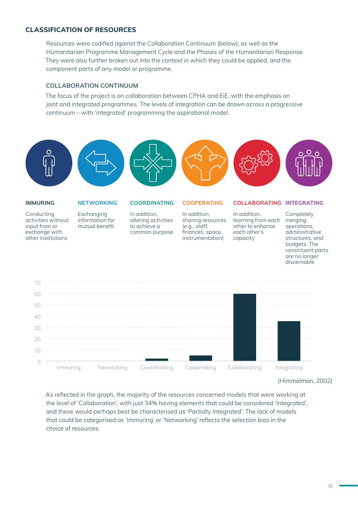#### **CLASSIFICATION OF RESOURCES**

Resources were codified against the Collaboration Continuum (below), as well as the Humanitarian Programme Management Cycle and the Phases of the Humanitarian Response. They were also further broken out into the context in which they could be applied, and the component parts of any model or programme.

#### **COLLABORATION CONTINUUM**

The focus of the project is on collaboration between CPHA and EiE, with the emphasis on joint and integrated programmes. The levels of integration can be drawn across a progressive continuum – with 'integrated' programming the aspirational model.



(Himmelman, 2002)

As reflected in the graph, the majority of the resources concerned models that were working at the level of 'Collaboration', with just 34% having elements that could be considered 'Integrated', and these would perhaps best be characterised as 'Partially Integrated'. The lack of models that could be categorised as 'Immuring' or 'Networking' reflects the selection bias in the choice of resources.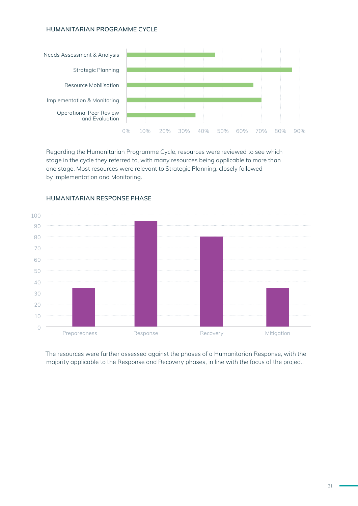#### **HUMANITARIAN PROGRAMME CYCLE**



Regarding the Humanitarian Programme Cycle, resources were reviewed to see which stage in the cycle they referred to, with many resources being applicable to more than one stage. Most resources were relevant to Strategic Planning, closely followed by Implementation and Monitoring.



#### **HUMANITARIAN RESPONSE PHASE**

The resources were further assessed against the phases of a Humanitarian Response, with the majority applicable to the Response and Recovery phases, in line with the focus of the project.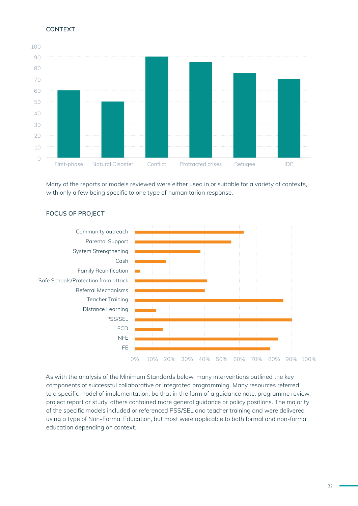#### **CONTEXT**



Many of the reports or models reviewed were either used in or suitable for a variety of contexts, with only a few being specific to one type of humanitarian response.



#### **FOCUS OF PROJECT**

As with the analysis of the Minimum Standards below, many interventions outlined the key components of successful collaborative or integrated programming. Many resources referred to a specific model of implementation, be that in the form of a guidance note, programme review, project report or study, others contained more general guidance or policy positions. The majority of the specific models included or referenced PSS/SEL and teacher training and were delivered using a type of Non-Formal Education, but most were applicable to both formal and non-formal education depending on context.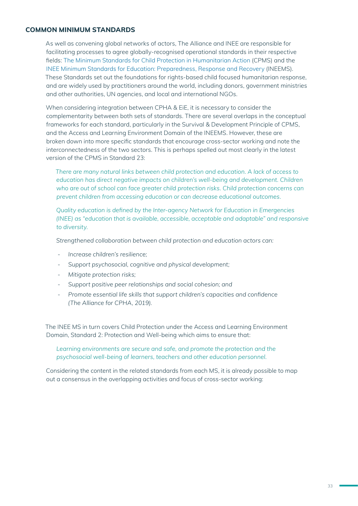#### **COMMON MINIMUM STANDARDS**

As well as convening global networks of actors, The Alliance and INEE are responsible for facilitating processes to agree globally-recognised operational standards in their respective fields: The Minimum Standards for Child Protection in Humanitarian Action (CPMS) and the INEE Minimum Standards for Education: Preparedness, Response and Recovery (INEEMS). These Standards set out the foundations for rights-based child focused humanitarian response, and are widely used by practitioners around the world, including donors, government ministries and other authorities, UN agencies, and local and international NGOs.

When considering integration between CPHA & EiE, it is necessary to consider the complementarity between both sets of standards. There are several overlaps in the conceptual frameworks for each standard, particularly in the Survival & Development Principle of CPMS, and the Access and Learning Environment Domain of the INEEMS. However, these are broken down into more specific standards that encourage cross-sector working and note the interconnectedness of the two sectors. This is perhaps spelled out most clearly in the latest version of the CPMS in Standard 23:

*There are many natural links between child protection and education. A lack of access to education has direct negative impacts on children's well-being and development. Children who are out of school can face greater child protection risks. Child protection concerns can prevent children from accessing education or can decrease educational outcomes.*

*Quality education is defined by the Inter-agency Network for Education in Emergencies (INEE) as "education that is available, accessible, acceptable and adaptable" and responsive to diversity.*

*Strengthened collaboration between child protection and education actors can:*

- *- Increase children's resilience;*
- *- Support psychosocial, cognitive and physical development;*
- *- Mitigate protection risks;*
- *- Support positive peer relationships and social cohesion; and*
- *- Promote essential life skills that support children's capacities and confidence (The Alliance for CPHA, 2019).*

The INEE MS in turn covers Child Protection under the Access and Learning Environment Domain, Standard 2: Protection and Well-being which aims to ensure that:

#### *Learning environments are secure and safe, and promote the protection and the psychosocial well-being of learners, teachers and other education personnel.*

Considering the content in the related standards from each MS, it is already possible to map out a consensus in the overlapping activities and focus of cross-sector working: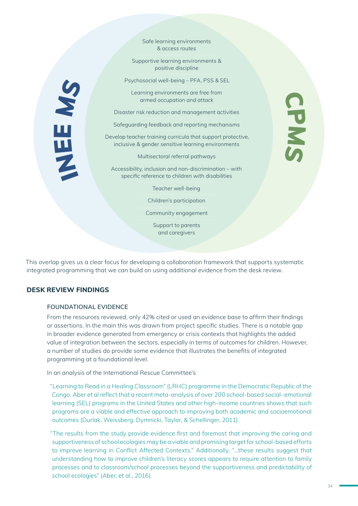Safe learning environments & access routes

Supportive learning environments & positive discipline

Psychosocial well-being – PFA, PSS & SEL

Learning environments are free from armed occupation and attack

Disaster risk reduction and management activities

Safeguarding feedback and reporting mechanisms

Develop teacher training curricula that support protective, inclusive & gender sensitive learning environments

Multisectoral referral pathways

Accessibility, inclusion and non-discrimination – with specific reference to children with disabilities

Teacher well-being

Children's participation

Community engagement

Support to parents and caregivers

This overlap gives us a clear focus for developing a collaboration framework that supports systematic integrated programming that we can build on using additional evidence from the desk review.

#### **DESK REVIEW FINDINGS**

NEE MS

#### **FOUNDATIONAL EVIDENCE**

From the resources reviewed, only 42% cited or used an evidence base to affirm their findings or assertions. In the main this was drawn from project specific studies. There is a notable gap in broader evidence generated from emergency or crisis contexts that highlights the added value of integration between the sectors, especially in terms of outcomes for children. However, a number of studies do provide some evidence that illustrates the benefits of integrated programming at a foundational level.

In an analysis of the International Rescue Committee's

"Learning to Read in a Healing Classroom" (LRHC) programme in the Democratic Republic of the Congo, Aber et al reflect that a recent meta-analysis of over 200 school-based social–emotional learning (SEL) programs in the United States and other high-income countries shows that such programs are a viable and effective approach to improving both academic and socioemotional outcomes (Durlak, Weissberg, Dymnicki, Taylor, & Schellinger, 2011).

"The results from the study provide evidence first and foremost that improving the caring and supportiveness of school ecologies may be a viable and promising target for school-based efforts to improve learning in Conflict Affected Contexts." Additionally, "...these results suggest that understanding how to improve children's literacy scores appears to require attention to family processes and to classroom/school processes beyond the supportiveness and predictability of school ecologies" (Aber, et al., 2016).

CPMS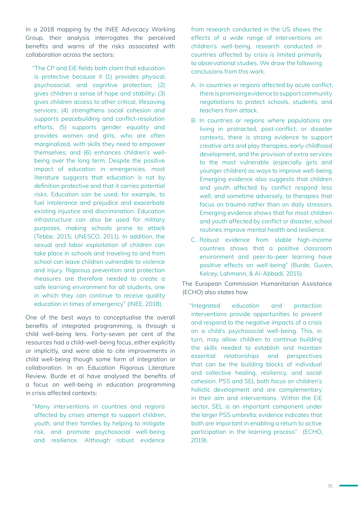In a 2018 mapping by the INEE Advocacy Working Group, their analysis interrogates the perceived benefits and warns of the risks associated with collaboration across the sectors:

"The CP and EiE fields both claim that education is protective because it (1) provides physical, psychosocial, and cognitive protection; (2) gives children a sense of hope and stability; (3) gives children access to other critical, lifesaving services; (4) strengthens social cohesion and supports peacebuilding and conflict-resolution efforts; (5) supports gender equality and provides women and girls, who are often marginalized, with skills they need to empower themselves; and (6) enhances children's wellbeing over the long term. Despite the positive impact of education in emergencies, most literature suggests that education is not by definition protective and that it carries potential risks. Education can be used, for example, to fuel intolerance and prejudice and exacerbate existing injustice and discrimination. Education infrastructure can also be used for military purposes, making schools prone to attack (Tebbe, 2015; UNESCO, 2011). In addition, the sexual and labor exploitation of children can take place in schools and traveling to and from school can leave children vulnerable to violence and injury. Rigorous prevention and protection measures are therefore needed to create a safe learning environment for all students, one in which they can continue to receive quality education in times of emergency" (INEE, 2018).

One of the best ways to conceptualise the overall benefits of integrated programming, is through a child well-being lens. Forty-seven per cent of the resources had a child-well-being focus, either explicitly or implicitly, and were able to cite improvements in child well-being though some form of integration or collaboration. In an Education Rigorous Literature Review, Burde et al have analysed the benefits of a focus on well-being in education programming in crisis affected contexts:

"Many interventions in countries and regions affected by crises attempt to support children, youth, and their families by helping to mitigate risk, and promote psychosocial well-being and resilience. Although robust evidence

from research conducted in the US shows the effects of a wide range of interventions on children's well-being, research conducted in countries affected by crisis is limited primarily to observational studies. We draw the following conclusions from this work.

- A. In countries or regions affected by acute conflict, there is promising evidence to support community negotiations to protect schools, students, and teachers from attack.
- B. In countries or regions where populations are living in protracted, post-conflict, or disaster contexts, there is strong evidence to support creative arts and play therapies, early childhood development, and the provision of extra services to the most vulnerable (especially girls and younger children) as ways to improve well-being. Emerging evidence also suggests that children and youth affected by conflict respond less well, and sometime adversely, to therapies that focus on trauma rather than on daily stressors. Emerging evidence shows that for most children and youth affected by conflict or disaster, school routines improve mental health and resilience.
- C. Robust evidence from stable high-income countries shows that a positive classroom environment and peer-to-peer learning have positive effects on well-being" (Burde, Guven, Kelcey, Lahmann, & Al-Abbadi, 2015).

The European Commission Humanitarian Assistance (ECHO) also states how

"Integrated education and protection interventions provide opportunities to prevent and respond to the negative impacts of a crisis on a child's psychosocial well-being. This, in turn, may allow children to continue building the skills needed to establish and maintain essential relationships and perspectives that can be the building blocks of individual and collective healing, resiliency, and social cohesion. PSS and SEL both focus on children's holistic development and are complementary in their aim and interventions. Within the EiE sector, SEL is an important component under the larger PSS umbrella; evidence indicates that both are important in enabling a return to active participation in the learning process" (ECHO, 2019).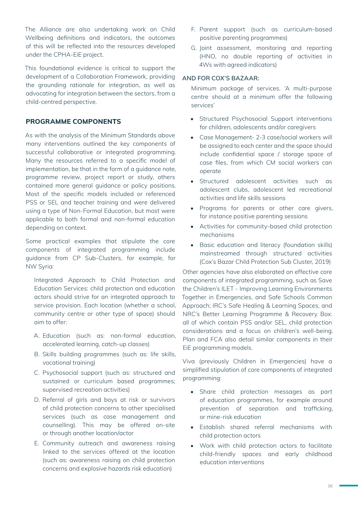The Alliance are also undertaking work on Child Wellbeing definitions and indicators, the outcomes of this will be reflected into the resources developed under the CPHA-EiE project.

This foundational evidence is critical to support the development of a Collaboration Framework, providing the grounding rationale for integration, as well as advocating for integration between the sectors, from a child-centred perspective.

#### **PROGRAMME COMPONENTS**

As with the analysis of the Minimum Standards above many interventions outlined the key components of successful collaborative or integrated programming. Many the resources referred to a specific model of implementation, be that in the form of a guidance note, programme review, project report or study, others contained more general guidance or policy positions. Most of the specific models included or referenced PSS or SEL and teacher training and were delivered using a type of Non-Formal Education, but most were applicable to both formal and non-formal education depending on context.

Some practical examples that stipulate the core components of integrated programming include guidance from CP Sub-Clusters, for example, for NW Syria:

Integrated Approach to Child Protection and Education Services: child protection and education actors should strive for an integrated approach to service provision. Each location (whether a school, community centre or other type of space) should aim to offer:

- A. Education (such as: non-formal education, accelerated learning, catch-up classes)
- B. Skills building programmes (such as: life skills, vocational training)
- C. Psychosocial support (such as: structured and sustained or curriculum based programmes; supervised recreation activities)
- D. Referral of girls and boys at risk or survivors of child protection concerns to other specialised services (such as case management and counselling). This may be offered on-site or through another location/actor
- E. Community outreach and awareness raising linked to the services offered at the location (such as: awareness raising on child protection concerns and explosive hazards risk education)
- F. Parent support (such as curriculum-based positive parenting programmes)
- G. Joint assessment, monitoring and reporting (HNO, no double reporting of activities in 4Ws with agreed indicators)

#### **AND FOR COX'S BAZAAR:**

Minimum package of services. 'A multi-purpose centre should at a minimum offer the following services'

- Structured Psychosocial Support interventions for children, adolescents and/or caregivers
- Case Management- 2-3 case/social workers will be assigned to each center and the space should include confidential space / storage space of case files, from which CM social workers can operate
- Structured adolescent activities such as adolescent clubs, adolescent led recreational activities and life skills sessions
- Programs for parents or other care givers, for instance positive parenting sessions
- Activities for community-based child protection mechanisms
- Basic education and literacy (foundation skills) mainstreamed through structured activities (Cox's Bazar Child Protection Sub Cluster, 2019)

Other agencies have also elaborated on effective core components of integrated programming, such as Save the Children's ILET - Improving Learning Environments Together in Emergencies, and Safe Schools Common Approach; IRC's Safe Healing & Learning Spaces, and NRC's Better Learning Programme & Recovery Box: all of which contain PSS and/or SEL, child protection considerations and a focus on children's well-being. Plan and FCA also detail similar components in their EiE programming models.

Viva (previously Children in Emergencies) have a simplified stipulation of core components of integrated programming:

- Share child protection messages as part of education programmes, for example around prevention of separation and trafficking, or mine-risk education
- Establish shared referral mechanisms with child protection actors
- Work with child protection actors to facilitate child-friendly spaces and early childhood education interventions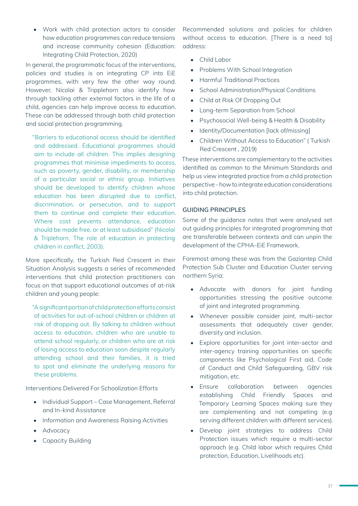• Work with child protection actors to consider how education programmes can reduce tensions and increase community cohesion (Education: Integrating Child Protection, 2020)

In general, the programmatic focus of the interventions, policies and studies is on integrating CP into EiE programmes, with very few the other way round. However, Nicolai & Tripplehorn also identify how through tackling other external factors in the life of a child, agencies can help improve access to education. These can be addressed through both child protection and social protection programming.

"Barriers to educational access should be identified and addressed. Educational programmes should aim to include all children. This implies designing programmes that minimise impediments to access, such as poverty, gender, disability, or membership of a particular social or ethnic group. Initiatives should be developed to identify children whose education has been disrupted due to conflict, discrimination, or persecution, and to support them to continue and complete their education. Where cost prevents attendance, education should be made free, or at least subsidised" (Nicolai & Triplehorn, The role of education in protecting children in conflict, 2003).

More specifically, the Turkish Red Crescent in their Situation Analysis suggests a series of recommended interventions that child protection practitioners can focus on that support educational outcomes of at-risk children and young people:

"A significant portion of child protection efforts consist of activities for out-of-school children or children at risk of dropping out. By talking to children without access to education, children who are unable to attend school regularly, or children who are at risk of losing access to education soon despite regularly attending school and their families, it is tried to spot and eliminate the underlying reasons for these problems.

Interventions Delivered For Schoolization Efforts

- Individual Support Case Management, Referral and In-kind Assistance
- Information and Awareness Raising Activities
- Advocacy
- Capacity Building

Recommended solutions and policies for children without access to education. [There is a need to] address:

- Child Labor
- Problems With School Integration
- Harmful Traditional Practices
- School Administration/Physical Conditions
- Child at Risk Of Dropping Out
- Long-term Separation from School
- Psychosocial Well-being & Health & Disability
- Identity/Documentation [lack of/missing]
- Children Without Access to Education" ( Turkish Red Crescent , 2019)

These interventions are complementary to the activities identified as common to the Minimum Standards and help us view integrated practice from a child protection perspective - how to integrate education considerations into child protection.

#### **GUIDING PRINCIPLES**

Some of the guidance notes that were analysed set out guiding principles for integrated programming that are transferable between contexts and can unpin the development of the CPHA-EiE Framework.

Foremost among these was from the Gaziantep Child Protection Sub Cluster and Education Cluster serving northern Syria:

- Advocate with donors for joint funding opportunities stressing the positive outcome of joint and integrated programming.
- Whenever possible consider joint, multi-sector assessments that adequately cover gender, diversity and inclusion.
- Explore opportunities for joint inter-sector and inter-agency training opportunities on specific components like Psychological First aid, Code of Conduct and Child Safeguarding, GBV risk mitigation, etc.
- Ensure collaboration between agencies establishing Child Friendly Spaces and Temporary Learning Spaces making sure they are complementing and not competing (e.g serving different children with different services).
- Develop joint strategies to address Child Protection issues which require a multi-sector approach (e.g. Child labor which requires Child protection, Education, Livelihoods etc).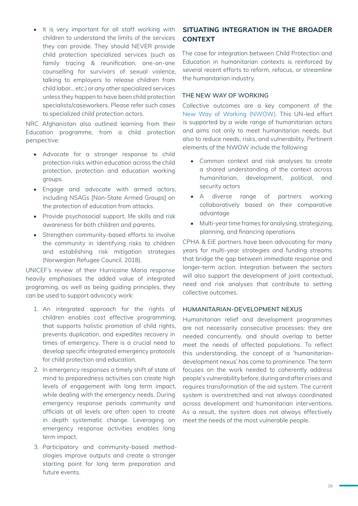• It is very important for all staff working with children to understand the limits of the services they can provide. They should NEVER provide child protection specialized services (such as family tracing & reunification, one-on-one counselling for survivors of sexual violence, talking to employers to release children from child labor… etc.) or any other specialized services unless they happen to have been child protection specialists/caseworkers. Please refer such cases to specialized child protection actors.

NRC Afghanistan also outlined learning from their Education programme, from a child protection perspective:

- Advocate for a stronger response to child protection risks within education across the child protection, protection and education working groups.
- Engage and advocate with armed actors, including NSAGs [Non-State Armed Groups] on the protection of education from attacks.
- Provide psychosocial support, life skills and risk awareness for both children and parents.
- Strengthen community-based efforts to involve the community in identifying risks to children and establishing risk mitigation strategies (Norwegian Refugee Council, 2018).

UNICEF's review of their Hurricaine Maria response heavily emphasises the added value of integrated programing, as well as being guiding principles, they can be used to support advocacy work:

- 1. An integrated approach for the rights of children enables cost effective programming, that supports holistic promotion of child rights, prevents duplication, and expedites recovery in times of emergency. There is a crucial need to develop specific integrated emergency protocols for child protection and education.
- 2. In emergency responses a timely shift of state of mind to preparedness activities can create high levels of engagement with long term impact, while dealing with the emergency needs. During emergency response periods community and officials at all levels are often open to create in depth systematic change. Leveraging on emergency response activities enables long term impact.
- 3. Participatory and community-based methodologies improve outputs and create a stronger starting point for long term preparation and future events.

### **SITUATING INTEGRATION IN THE BROADER CONTEXT**

The case for integration between Child Protection and Education in humanitarian contexts is reinforced by several recent efforts to reform, refocus, or streamline the humanitarian industry.

#### **THE NEW WAY OF WORKING**

Collective outcomes are a key component of the New Way of Working (NWOW). This UN-led effort is supported by a wide range of humanitarian actors and aims not only to meet humanitarian needs, but also to reduce needs, risks, and vulnerability. Pertinent elements of the NWOW include the following:

- Common context and risk analyses to create a shared understanding of the context across humanitarian, development, political, and security actors
- A diverse range of partners working collaboratively based on their comparative advantage
- Multi-year time frames for analysing, strategizing, planning, and financing operations

CPHA & EiE partners have been advocating for many years for multi-year strategies and funding streams that bridge the gap between immediate response and longer-term action. Integration between the sectors will also support the development of joint contextual, need and risk analyses that contribute to setting collective outcomes.

#### **HUMANITARIAN-DEVELOPMENT NEXUS**

Humanitarian relief and development programmes are not necessarily consecutive processes: they are needed concurrently, and should overlap to better meet the needs of affected populations. To reflect this understanding, the concept of a 'humanitariandevelopment nexus' has come to prominence. The term focuses on the work needed to coherently address people's vulnerability before, during and after crises and requires transformation of the aid system. The current system is overstretched and not always coordinated across development and humanitarian interventions. As a result, the system does not always effectively meet the needs of the most vulnerable people.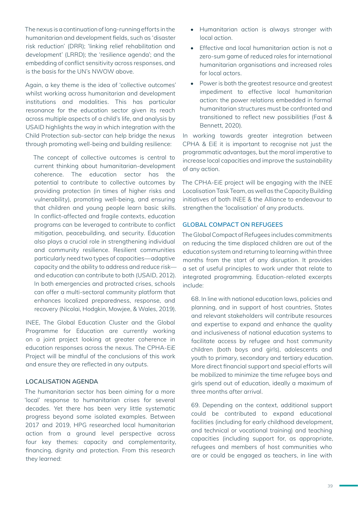The nexus is a continuation of long-running efforts in the humanitarian and development fields, such as 'disaster risk reduction' (DRR); 'linking relief rehabilitation and development' (LRRD); the 'resilience agenda'; and the embedding of conflict sensitivity across responses, and is the basis for the UN's NWOW above.

Again, a key theme is the idea of 'collective outcomes' whilst working across humanitarian and development institutions and modalities. This has particular resonance for the education sector given its reach across multiple aspects of a child's life, and analysis by USAID highlights the way in which integration with the Child Protection sub-sector can help bridge the nexus through promoting well-being and building resilience:

The concept of collective outcomes is central to current thinking about humanitarian-development coherence. The education sector has the potential to contribute to collective outcomes by providing protection (in times of higher risks and vulnerability), promoting well-being, and ensuring that children and young people learn basic skills. In conflict-affected and fragile contexts, education programs can be leveraged to contribute to conflict mitigation, peacebuilding, and security. Education also plays a crucial role in strengthening individual and community resilience. Resilient communities particularly need two types of capacities—adaptive capacity and the ability to address and reduce risk and education can contribute to both (USAID, 2012). In both emergencies and protracted crises, schools can offer a multi-sectoral community platform that enhances localized preparedness, response, and recovery (Nicolai, Hodgkin, Mowjee, & Wales, 2019).

INEE, The Global Education Cluster and the Global Programme for Education are currently working on a joint project looking at greater coherence in education responses across the nexus. The CPHA-EiE Project will be mindful of the conclusions of this work and ensure they are reflected in any outputs.

#### **LOCALISATION AGENDA**

The humanitarian sector has been aiming for a more 'local' response to humanitarian crises for several decades. Yet there has been very little systematic progress beyond some isolated examples. Between 2017 and 2019, HPG researched local humanitarian action from a ground level perspective across four key themes: capacity and complementarity, financing, dignity and protection. From this research they learned:

- Humanitarian action is always stronger with local action.
- Effective and local humanitarian action is not a zero-sum game of reduced roles for international humanitarian organisations and increased roles for local actors.
- Power is both the greatest resource and greatest impediment to effective local humanitarian action: the power relations embedded in formal humanitarian structures must be confronted and transitioned to reflect new possibilities (Fast & Bennett, 2020).

In working towards greater integration between CPHA & EiE it is important to recognise not just the programmatic advantages, but the moral imperative to increase local capacities and improve the sustainability of any action.

The CPHA-EiE project will be engaging with the INEE Localisation Task Team, as well as the Capacity Building initiatives of both INEE & the Alliance to endeavour to strengthen the 'localisation' of any products.

#### **GLOBAL COMPACT ON REFUGEES**

The Global Compact of Refugees includes commitments on reducing the time displaced children are out of the education system and returning to learning within three months from the start of any disruption. It provides a set of useful principles to work under that relate to integrated programming. Education-related excerpts include:

68. In line with national education laws, policies and planning, and in support of host countries, States and relevant stakeholders will contribute resources and expertise to expand and enhance the quality and inclusiveness of national education systems to facilitate access by refugee and host community children (both boys and girls), adolescents and youth to primary, secondary and tertiary education. More direct financial support and special efforts will be mobilized to minimize the time refugee boys and girls spend out of education, ideally a maximum of three months after arrival.

69. Depending on the context, additional support could be contributed to expand educational facilities (including for early childhood development, and technical or vocational training) and teaching capacities (including support for, as appropriate, refugees and members of host communities who are or could be engaged as teachers, in line with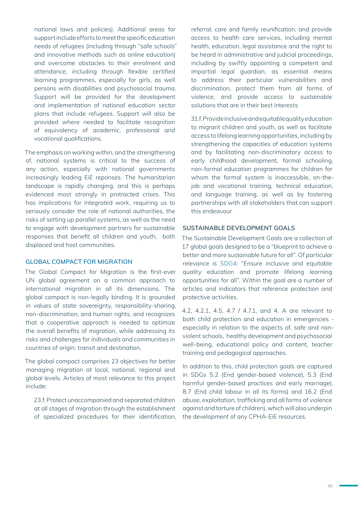national laws and policies). Additional areas for support include efforts to meet the specific education needs of refugees (including through "safe schools" and innovative methods such as online education) and overcome obstacles to their enrolment and attendance, including through flexible certified learning programmes, especially for girls, as well persons with disabilities and psychosocial trauma. Support will be provided for the development and implementation of national education sector plans that include refugees. Support will also be provided where needed to facilitate recognition of equivalency of academic, professional and vocational qualifications.

The emphasis on working within, and the strengthening of, national systems is critical to the success of any action, especially with national governments increasingly leading EiE reponses. The humanitarian landscape is rapidly changing, and this is perhaps evidenced most strongly in protracted crises. This has implications for integrated work, requiring us to seriously consider the role of national authorities, the risks of setting up parallel systems, as well as the need to engage with development partners for sustainable responses that benefit all children and youth, both displaced and host communities.

#### **GLOBAL COMPACT FOR MIGRATION**

The Global Compact for Migration is the first-ever UN global agreement on a common approach to international migration in all its dimensions. The global compact is non-legally binding. It is grounded in values of state sovereignty, responsibility-sharing, non-discrimination, and human rights, and recognizes that a cooperative approach is needed to optimize the overall benefits of migration, while addressing its risks and challenges for individuals and communities in countries of origin, transit and destination.

The global compact comprises 23 objectives for better managing migration at local, national, regional and global levels. Articles of most relevance to this project include:

23.f. Protect unaccompanied and separated children at all stages of migration through the establishment of specialized procedures for their identification, referral, care and family reunification, and provide access to health care services, including mental health, education, legal assistance and the right to be heard in administrative and judicial proceedings, including by swiftly appointing a competent and impartial legal guardian, as essential means to address their particular vulnerabilities and discrimination, protect them from all forms of violence, and provide access to sustainable solutions that are in their best interests

31.f. Provide inclusive and equitable quality education to migrant children and youth, as well as facilitate access to lifelong learning opportunities, including by strengthening the capacities of education systems and by facilitating non-discriminatory access to early childhood development, formal schooling, non-formal education programmes for children for whom the formal system is inaccessible, on-thejob and vocational training, technical education, and language training, as well as by fostering partnerships with all stakeholders that can support this endeavour

#### **SUSTAINABLE DEVELOPMENT GOALS**

The Sustainable Development Goals are a collection of 17 global goals designed to be a "blueprint to achieve a better and more sustainable future for all". Of particular relevance is SDG4: "Ensure inclusive and equitable quality education and promote lifelong learning opportunities for all". Within the goal are a number of articles and indicators that reference protection and protective activities.

4.2, 4.2.1, 4.5, 4.7 / 4.7.1, and 4. A are relevant to both child protection and education in emergencies especially in relation to the aspects of, safe and nonviolent schools, healthy development and psychosocial well-being, educational policy and content, teacher training and pedagogical approaches.

In addition to this, child protection goals are captured in SDGs 5.2 (End gender-based violence), 5.3 (End harmful gender-based practices and early marriage), 8.7 (End child labour in all its forms) and 16.2 (End abuse, exploitation, trafficking and all forms of violence against and torture of children), which will also underpin the development of any CPHA-EiE resources.